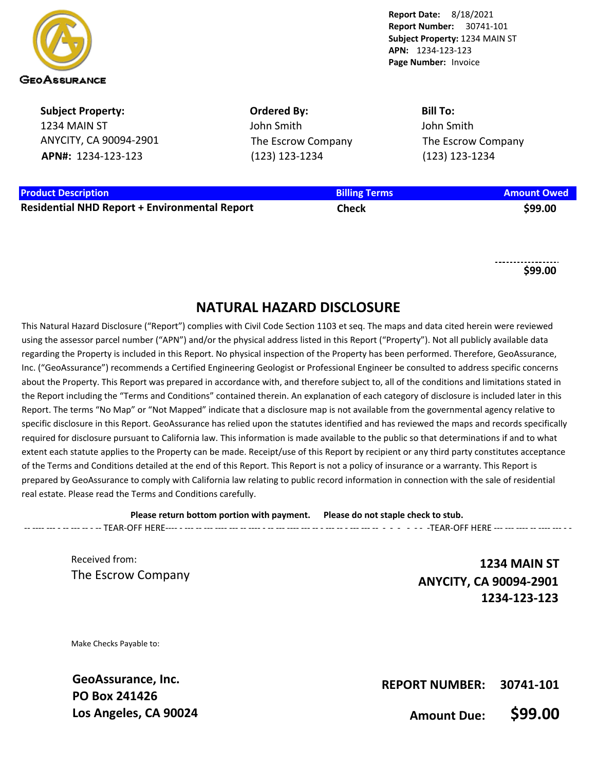

**Subject Property:** 1234 MAIN ST ANYCITY, CA 90094-2901 **APN#:** 1234-123-123

**Ordered By:** John Smith The Escrow Company (123) 123-1234

**Bill To:** John Smith The Escrow Company (123) 123-1234

### **Product Description Billing Terms Amount Owed**

**Residential NHD Report + Environmental Report Check \$99.00**

**\$99.00**

## **NATURAL HAZARD DISCLOSURE**

This Natural Hazard Disclosure ("Report") complies with Civil Code Section 1103 et seq. The maps and data cited herein were reviewed using the assessor parcel number ("APN") and/or the physical address listed in this Report ("Property"). Not all publicly available data regarding the Property is included in this Report. No physical inspection of the Property has been performed. Therefore, GeoAssurance, Inc. ("GeoAssurance") recommends a Certified Engineering Geologist or Professional Engineer be consulted to address specific concerns about the Property. This Report was prepared in accordance with, and therefore subject to, all of the conditions and limitations stated in the Report including the "Terms and Conditions" contained therein. An explanation of each category of disclosure is included later in this Report. The terms "No Map" or "Not Mapped" indicate that a disclosure map is not available from the governmental agency relative to specific disclosure in this Report. GeoAssurance has relied upon the statutes identified and has reviewed the maps and records specifically required for disclosure pursuant to California law. This information is made available to the public so that determinations if and to what extent each statute applies to the Property can be made. Receipt/use of this Report by recipient or any third party constitutes acceptance of the Terms and Conditions detailed at the end of this Report. This Report is not a policy of insurance or a warranty. This Report is prepared by GeoAssurance to comply with California law relating to public record information in connection with the sale of residential real estate. Please read the Terms and Conditions carefully.

**Please return bottom portion with payment. Please do not staple check to stub.**  -- ---- --- - -- --- -- - -- TEAR-OFF HERE---- - --- -- --- ---- --- -- ---- - -- --- ---- --- -- - --- -- - --- --- -- - - - - - - -TEAR-OFF HERE --- --- ---- -- ---- --- - -

Received from: The Escrow Company

**1234 MAIN ST ANYCITY, CA 90094-2901 1234-123-123**

Make Checks Payable to:

**GeoAssurance, Inc. PO Box 241426 Los Angeles, CA 90024**

**REPORT NUMBER: 30741-101**

**Amount Due: \$99.00**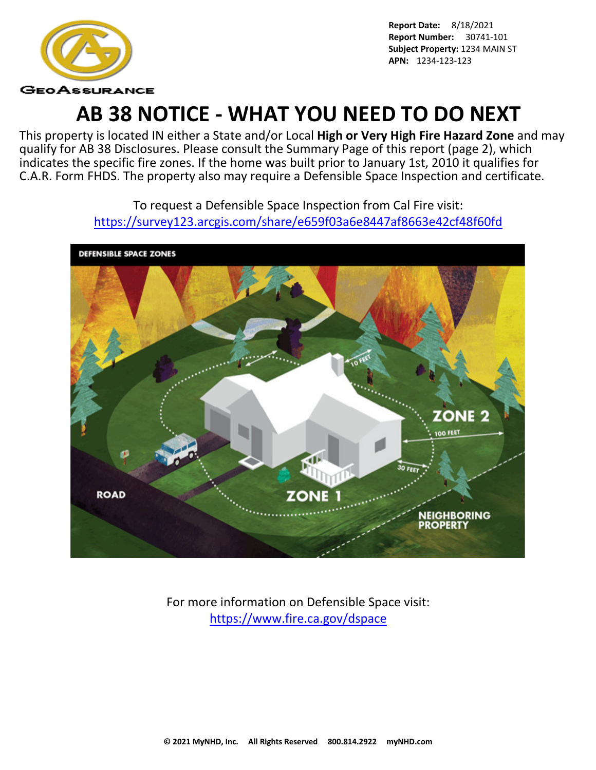

# **AB 38 NOTICE - WHAT YOU NEED TO DO NEXT**

This property is located IN either a State and/or Local **High or Very High Fire Hazard Zone** and may qualify for AB 38 Disclosures. Please consult the Summary Page of this report (page 2), which indicates the specific fire zones. If the home was built prior to January 1st, 2010 it qualifies for C.A.R. Form FHDS. The property also may require a Defensible Space Inspection and certificate.

> To request a Defensible Space Inspection from Cal Fire visit: <https://survey123.arcgis.com/share/e659f03a6e8447af8663e42cf48f60fd>



For more information on Defensible Space visit: <https://www.fire.ca.gov/dspace>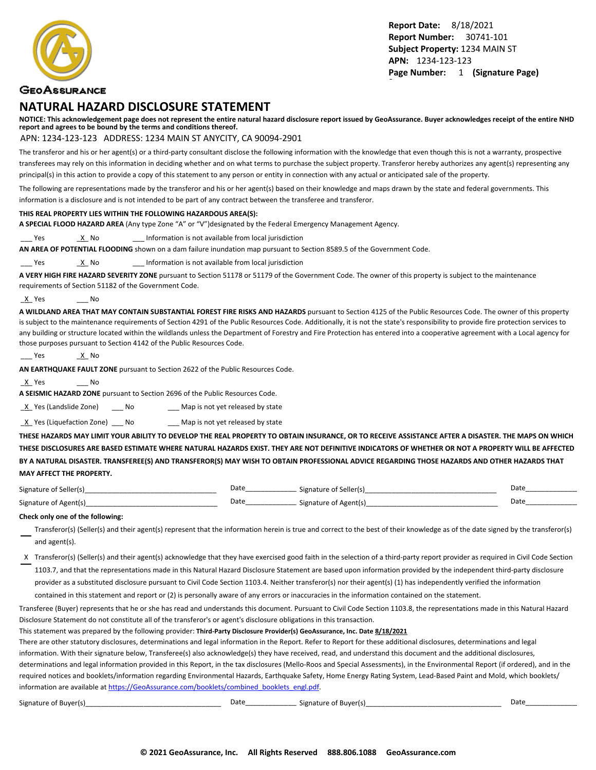

### **GEOASSURANCE**

### **NATURAL HAZARD DISCLOSURE STATEMENT**

**NOTICE: This acknowledgement page does not represent the entire natural hazard disclosure report issued by GeoAssurance. Buyer acknowledges receipt of the entire NHD report and agrees to be bound by the terms and conditions thereof.**

#### APN: 1234-123-123 ADDRESS: 1234 MAIN ST ANYCITY, CA 90094-2901

The transferor and his or her agent(s) or a third-party consultant disclose the following information with the knowledge that even though this is not a warranty, prospective transferees may rely on this information in deciding whether and on what terms to purchase the subject property. Transferor hereby authorizes any agent(s) representing any principal(s) in this action to provide a copy of this statement to any person or entity in connection with any actual or anticipated sale of the property.

The following are representations made by the transferor and his or her agent(s) based on their knowledge and maps drawn by the state and federal governments. This information is a disclosure and is not intended to be part of any contract between the transferee and transferor.

#### **THIS REAL PROPERTY LIES WITHIN THE FOLLOWING HAZARDOUS AREA(S):**

**A SPECIAL FLOOD HAZARD AREA** (Any type Zone "A" or "V")designated by the Federal Emergency Management Agency.

Yes X No 2011 Information is not available from local jurisdiction

**AN AREA OF POTENTIAL FLOODING** shown on a dam failure inundation map pursuant to Section 8589.5 of the Government Code.

Yes X No 2011 Information is not available from local jurisdiction

**A VERY HIGH FIRE HAZARD SEVERITY ZONE** pursuant to Section 51178 or 51179 of the Government Code. The owner of this property is subject to the maintenance requirements of Section 51182 of the Government Code.

\_X\_ Yes \_\_\_ No

**A WILDLAND AREA THAT MAY CONTAIN SUBSTANTIAL FOREST FIRE RISKS AND HAZARDS** pursuant to Section 4125 of the Public Resources Code. The owner of this property is subject to the maintenance requirements of Section 4291 of the Public Resources Code. Additionally, it is not the state's responsibility to provide fire protection services to any building or structure located within the wildlands unless the Department of Forestry and Fire Protection has entered into a cooperative agreement with a Local agency for those purposes pursuant to Section 4142 of the Public Resources Code.

```
___ Yes ______<u>_X</u>__ No
```
**AN EARTHQUAKE FAULT ZONE** pursuant to Section 2622 of the Public Resources Code.

\_X\_ Yes \_\_\_ No

**A SEISMIC HAZARD ZONE** pursuant to Section 2696 of the Public Resources Code.

X Yes (Landslide Zone) \_\_\_ No \_\_\_\_ Map is not yet released by state

 $\underline{X}$  Yes (Liquefaction Zone) \_\_\_ No \_\_\_\_ Map is not yet released by state

**THESE HAZARDS MAY LIMIT YOUR ABILITY TO DEVELOP THE REAL PROPERTY TO OBTAIN INSURANCE, OR TO RECEIVE ASSISTANCE AFTER A DISASTER. THE MAPS ON WHICH THESE DISCLOSURES ARE BASED ESTIMATE WHERE NATURAL HAZARDS EXIST. THEY ARE NOT DEFINITIVE INDICATORS OF WHETHER OR NOT A PROPERTY WILL BE AFFECTED BY A NATURAL DISASTER. TRANSFEREE(S) AND TRANSFEROR(S) MAY WISH TO OBTAIN PROFESSIONAL ADVICE REGARDING THOSE HAZARDS AND OTHER HAZARDS THAT MAY AFFECT THE PROPERTY.**

| Signature of<br>Seller(s)  | Date | Signature of Seller(s) | Date |
|----------------------------|------|------------------------|------|
| Signature of<br>r Agent(s) | Date | Signature of Agent(s)  | Date |

#### **Check only one of the following:**

- Transferor(s) (Seller(s) and their agent(s) represent that the information herein is true and correct to the best of their knowledge as of the date signed by the transferor(s) and agent(s).
- X Transferor(s) (Seller(s) and their agent(s) acknowledge that they have exercised good faith in the selection of a third-party report provider as required in Civil Code Section 1103.7, and that the representations made in this Natural Hazard Disclosure Statement are based upon information provided by the independent third-party disclosure provider as a substituted disclosure pursuant to Civil Code Section 1103.4. Neither transferor(s) nor their agent(s) (1) has independently verified the information

contained in this statement and report or (2) is personally aware of any errors or inaccuracies in the information contained on the statement.

Transferee (Buyer) represents that he or she has read and understands this document. Pursuant to Civil Code Section 1103.8, the representations made in this Natural Hazard Disclosure Statement do not constitute all of the transferor's or agent's disclosure obligations in this transaction.

This statement was prepared by the following provider: **Third-Party Disclosure Provider(s) GeoAssurance, Inc. Date 8/18/2021**

There are other statutory disclosures, determinations and legal information in the Report. Refer to Report for these additional disclosures, determinations and legal information. With their signature below, Transferee(s) also acknowledge(s) they have received, read, and understand this document and the additional disclosures, determinations and legal information provided in this Report, in the tax disclosures (Mello-Roos and Special Assessments), in the Environmental Report (if ordered), and in the required notices and booklets/information regarding Environmental Hazards, Earthquake Safety, Home Energy Rating System, Lead-Based Paint and Mold, which booklets/ information are available at [https://GeoAssurance.com/booklets/combined\\_booklets\\_engl.pdf](https://GeoAssurance.com/booklets/combined_booklets_engl.pdf).

| $\sim$ $\sim$<br>Signature of Buyerle' | Date | of Buver(s) ؛<br>Signature of L | Dati |
|----------------------------------------|------|---------------------------------|------|
|----------------------------------------|------|---------------------------------|------|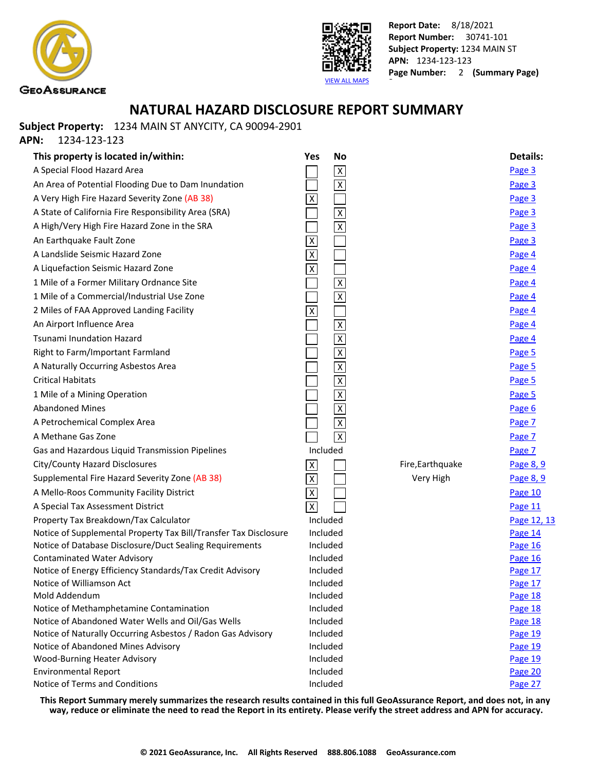



### **NATURAL HAZARD DISCLOSURE REPORT SUMMARY**

**Subject Property:** 1234 MAIN ST ANYCITY, CA 90094-2901

**APN:** 1234-123-123

| This property is located in/within:                                                          | <b>No</b><br>Yes          |                  | <b>Details:</b>    |
|----------------------------------------------------------------------------------------------|---------------------------|------------------|--------------------|
| A Special Flood Hazard Area                                                                  | $\overline{X}$            |                  | Page 3             |
| An Area of Potential Flooding Due to Dam Inundation                                          | $\overline{\mathbf{x}}$   |                  | Page 3             |
| A Very High Fire Hazard Severity Zone (AB 38)                                                | $\pmb{\mathsf{X}}$        |                  | Page 3             |
| A State of California Fire Responsibility Area (SRA)                                         | $\overline{\mathsf{x}}$   |                  | Page 3             |
| A High/Very High Fire Hazard Zone in the SRA                                                 | $\overline{\mathsf{x}}$   |                  | Page 3             |
| An Earthquake Fault Zone                                                                     | $\overline{X}$            |                  | Page 3             |
| A Landslide Seismic Hazard Zone                                                              | $\overline{\mathbf{x}}$   |                  | Page 4             |
| A Liquefaction Seismic Hazard Zone                                                           | $\overline{\mathsf{x}}$   |                  | Page 4             |
| 1 Mile of a Former Military Ordnance Site                                                    | $\overline{\mathsf{x}}$   |                  | Page 4             |
| 1 Mile of a Commercial/Industrial Use Zone                                                   | $\overline{\mathsf{x}}$   |                  | Page 4             |
| 2 Miles of FAA Approved Landing Facility                                                     | $\overline{\mathsf{X}}$   |                  | Page 4             |
| An Airport Influence Area                                                                    | $\overline{x}$            |                  | Page 4             |
| <b>Tsunami Inundation Hazard</b>                                                             | $\overline{\mathsf{x}}$   |                  | Page 4             |
| Right to Farm/Important Farmland                                                             | $\overline{\mathbf{X}}$   |                  | Page 5             |
| A Naturally Occurring Asbestos Area                                                          | $\overline{\mathsf{x}}$   |                  | Page 5             |
| <b>Critical Habitats</b>                                                                     | $\pmb{\chi}$              |                  | Page 5             |
| 1 Mile of a Mining Operation                                                                 | $\overline{\mathsf{x}}$   |                  | Page 5             |
| <b>Abandoned Mines</b>                                                                       | $\overline{\mathsf{x}}$   |                  | Page 6             |
| A Petrochemical Complex Area                                                                 | $\overline{\mathsf{x}}$   |                  | Page 7             |
| A Methane Gas Zone                                                                           | $\overline{\mathsf{x}}$   |                  | Page 7             |
| Gas and Hazardous Liquid Transmission Pipelines                                              | Included                  |                  | Page 7             |
| City/County Hazard Disclosures                                                               | $\boldsymbol{\mathsf{X}}$ | Fire, Earthquake | Page 8, 9          |
| Supplemental Fire Hazard Severity Zone (AB 38)                                               | $\overline{X}$            | Very High        | Page 8, 9          |
| A Mello-Roos Community Facility District                                                     | $\overline{X}$            |                  | Page 10            |
| A Special Tax Assessment District                                                            | $\overline{\mathsf{x}}$   |                  | Page 11            |
| Property Tax Breakdown/Tax Calculator                                                        | Included                  |                  | Page 12, 13        |
| Notice of Supplemental Property Tax Bill/Transfer Tax Disclosure                             | Included                  |                  | Page 14            |
| Notice of Database Disclosure/Duct Sealing Requirements                                      | Included                  |                  | Page 16            |
| <b>Contaminated Water Advisory</b>                                                           | Included                  |                  | Page 16            |
| Notice of Energy Efficiency Standards/Tax Credit Advisory                                    | Included                  |                  | Page 17            |
| Notice of Williamson Act                                                                     | Included                  |                  | Page 17            |
| Mold Addendum                                                                                | Included                  |                  | Page 18            |
| Notice of Methamphetamine Contamination<br>Notice of Abandoned Water Wells and Oil/Gas Wells | Included<br>Included      |                  | Page 18<br>Page 18 |
| Notice of Naturally Occurring Asbestos / Radon Gas Advisory                                  | Included                  |                  | Page 19            |
| Notice of Abandoned Mines Advisory                                                           | Included                  |                  | Page 19            |
| <b>Wood-Burning Heater Advisory</b>                                                          | Included                  |                  | Page 19            |
| <b>Environmental Report</b>                                                                  | Included                  |                  | Page 20            |
| Notice of Terms and Conditions                                                               | Included                  |                  | Page 27            |

**This Report Summary merely summarizes the research results contained in this full GeoAssurance Report, and does not, in any way, reduce or eliminate the need to read the Report in its entirety. Please verify the street address and APN for accuracy.**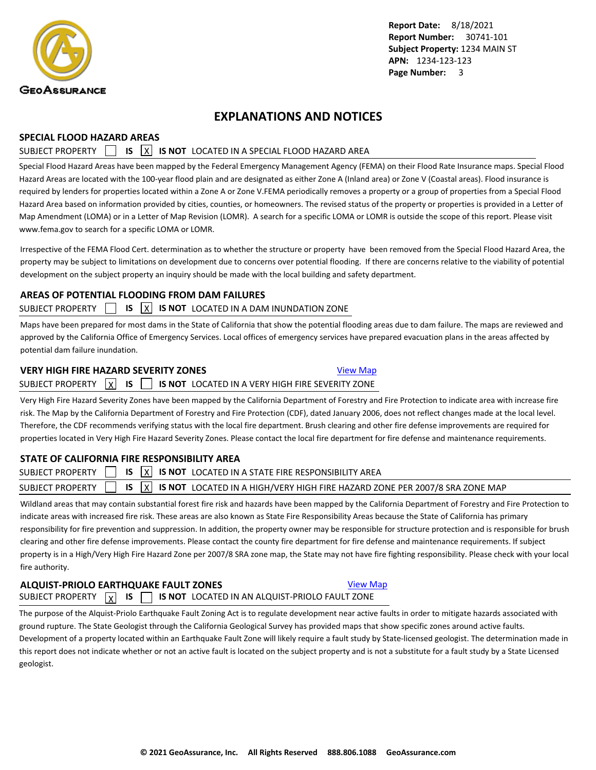<span id="page-4-0"></span>

### **EXPLANATIONS AND NOTICES**

#### **SPECIAL FLOOD HAZARD AREAS**

### SUBJECT PROPERTY **15 X IS NOT** LOCATED IN A SPECIAL FLOOD HAZARD AREA

Special Flood Hazard Areas have been mapped by the Federal Emergency Management Agency (FEMA) on their Flood Rate Insurance maps. Special Flood Hazard Areas are located with the 100-year flood plain and are designated as either Zone A (Inland area) or Zone V (Coastal areas). Flood insurance is required by lenders for properties located within a Zone A or Zone V.FEMA periodically removes a property or a group of properties from a Special Flood Hazard Area based on information provided by cities, counties, or homeowners. The revised status of the property or properties is provided in a Letter of Map Amendment (LOMA) or in a Letter of Map Revision (LOMR). A search for a specific LOMA or LOMR is outside the scope of this report. Please visit www.fema.gov to search for a specific LOMA or LOMR.

Irrespective of the FEMA Flood Cert. determination as to whether the structure or property have been removed from the Special Flood Hazard Area, the property may be subject to limitations on development due to concerns over potential flooding. If there are concerns relative to the viability of potential development on the subject property an inquiry should be made with the local building and safety department.

### **AREAS OF POTENTIAL FLOODING FROM DAM FAILURES**

### SUBJECT PROPERTY **IS X IS NOT** LOCATED IN A DAM INUNDATION ZONE

Maps have been prepared for most dams in the State of California that show the potential flooding areas due to dam failure. The maps are reviewed and approved by the California Office of Emergency Services. Local offices of emergency services have prepared evacuation plans in the areas affected by potential dam failure inundation.

### **VERY HIGH FIRE HAZARD SEVERITY ZONES [View Map](https://www.geoassurance.com/hazardmaps/1295385/713459)** View Map

SUBJECT PROPERTY X **IS IS 15 NOT** LOCATED IN A VERY HIGH FIRE SEVERITY ZONE

Very High Fire Hazard Severity Zones have been mapped by the California Department of Forestry and Fire Protection to indicate area with increase fire risk. The Map by the California Department of Forestry and Fire Protection (CDF), dated January 2006, does not reflect changes made at the local level. Therefore, the CDF recommends verifying status with the local fire department. Brush clearing and other fire defense improvements are required for properties located in Very High Fire Hazard Severity Zones. Please contact the local fire department for fire defense and maintenance requirements.

### **STATE OF CALIFORNIA FIRE RESPONSIBILITY AREA**

| SUBJECT PROPERTY $\Box$ IS $\overline{X}$ IS NOT LOCATED IN A STATE FIRE RESPONSIBILITY AREA                          |  |
|-----------------------------------------------------------------------------------------------------------------------|--|
| SUBJECT PROPERTY $\Box$ IS $\overline{X}$ IS NOT LOCATED IN A HIGH/VERY HIGH FIRE HAZARD ZONE PER 2007/8 SRA ZONE MAP |  |
|                                                                                                                       |  |

Wildland areas that may contain substantial forest fire risk and hazards have been mapped by the California Department of Forestry and Fire Protection to indicate areas with increased fire risk. These areas are also known as State Fire Responsibility Areas because the State of California has primary responsibility for fire prevention and suppression. In addition, the property owner may be responsible for structure protection and is responsible for brush clearing and other fire defense improvements. Please contact the county fire department for fire defense and maintenance requirements. If subject property is in a High/Very High Fire Hazard Zone per 2007/8 SRA zone map, the State may not have fire fighting responsibility. Please check with your local fire authority.

### **ALQUIST-PRIOLO EARTHQUAKE FAULT ZONES [View Map](https://www.geoassurance.com/hazardmaps/1295386/713459)** SUBJECT PROPERTY  $\boxed{\chi}$  **IS**  $\boxed{\phantom{0}}$  **IS NOT** LOCATED IN AN ALQUIST-PRIOLO FAULT ZONE

The purpose of the Alquist-Priolo Earthquake Fault Zoning Act is to regulate development near active faults in order to mitigate hazards associated with ground rupture. The State Geologist through the California Geological Survey has provided maps that show specific zones around active faults. Development of a property located within an Earthquake Fault Zone will likely require a fault study by State-licensed geologist. The determination made in this report does not indicate whether or not an active fault is located on the subject property and is not a substitute for a fault study by a State Licensed geologist.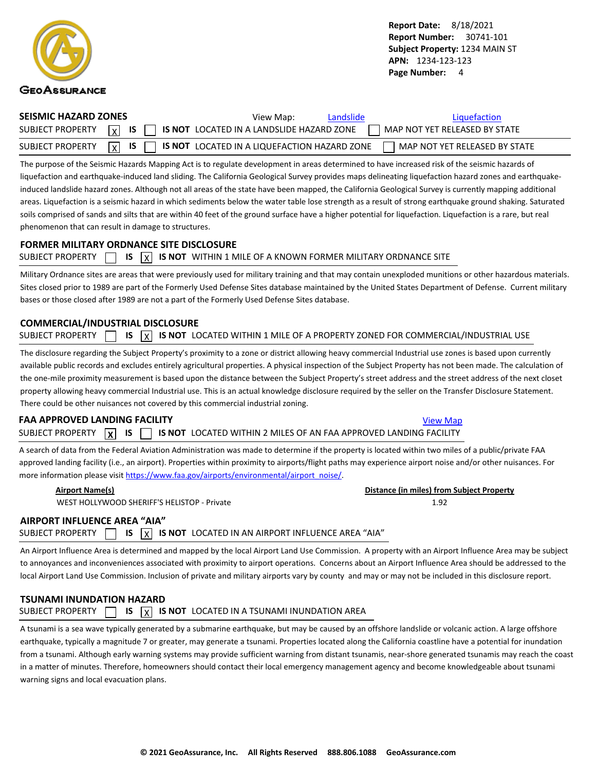<span id="page-5-0"></span>

| SEISMIC HAZARD ZONES | View Map:<br>Landslide                                                                                   | Liquefaction                  |
|----------------------|----------------------------------------------------------------------------------------------------------|-------------------------------|
|                      | SUBJECT PROPERTY $\boxed{x}$ is $\boxed{\phantom{x}}$ is not located in a landslide hazard zone          | MAP NOT YET RELEASED BY STATE |
|                      | SUBJECT PROPERTY $\boxed{\chi}$ is $\boxed{\phantom{\chi}}$ is not located in a liquefaction hazard zone | MAP NOT YET RELEASED BY STATE |

The purpose of the Seismic Hazards Mapping Act is to regulate development in areas determined to have increased risk of the seismic hazards of liquefaction and earthquake-induced land sliding. The California Geological Survey provides maps delineating liquefaction hazard zones and earthquakeinduced landslide hazard zones. Although not all areas of the state have been mapped, the California Geological Survey is currently mapping additional areas. Liquefaction is a seismic hazard in which sediments below the water table lose strength as a result of strong earthquake ground shaking. Saturated soils comprised of sands and silts that are within 40 feet of the ground surface have a higher potential for liquefaction. Liquefaction is a rare, but real phenomenon that can result in damage to structures.

#### **FORMER MILITARY ORDNANCE SITE DISCLOSURE**

|  |  |  |  |  | SUBJECT PROPERTY $\Box$ IS $\overline{X}$ IS NOT WITHIN 1 MILE OF A KNOWN FORMER MILITARY ORDNANCE SITE |
|--|--|--|--|--|---------------------------------------------------------------------------------------------------------|
|--|--|--|--|--|---------------------------------------------------------------------------------------------------------|

Military Ordnance sites are areas that were previously used for military training and that may contain unexploded munitions or other hazardous materials. Sites closed prior to 1989 are part of the Formerly Used Defense Sites database maintained by the United States Department of Defense. Current military bases or those closed after 1989 are not a part of the Formerly Used Defense Sites database.

#### **COMMERCIAL/INDUSTRIAL DISCLOSURE**

| SUBJECT PROPERTY $\Box$ IS $\boxed{\chi}$ IS NOT LOCATED WITHIN 1 MILE OF A PROPERTY ZONED FOR COMMERCIAL/INDUSTRIAL USE |  |  |  |  |  |  |  |  |  |  |
|--------------------------------------------------------------------------------------------------------------------------|--|--|--|--|--|--|--|--|--|--|
|--------------------------------------------------------------------------------------------------------------------------|--|--|--|--|--|--|--|--|--|--|

The disclosure regarding the Subject Property's proximity to a zone or district allowing heavy commercial Industrial use zones is based upon currently available public records and excludes entirely agricultural properties. A physical inspection of the Subject Property has not been made. The calculation of the one-mile proximity measurement is based upon the distance between the Subject Property's street address and the street address of the next closet property allowing heavy commercial Industrial use. This is an actual knowledge disclosure required by the seller on the Transfer Disclosure Statement. There could be other nuisances not covered by this commercial industrial zoning.

### **FAA APPROVED LANDING FACILITY [View Map](https://www.geoassurance.com/hazardmaps/1295392/713459) View Map** View Map

SUBJECT PROPERTY **X IS IS IS IS NOT** LOCATED WITHIN 2 MILES OF AN FAA APPROVED LANDING FACILITY

A search of data from the Federal Aviation Administration was made to determine if the property is located within two miles of a public/private FAA approved landing facility (i.e., an airport). Properties within proximity to airports/flight paths may experience airport noise and/or other nuisances. For more information please visit [https://www.faa.gov/airports/environmental/airport\\_noise/](https://www.faa.gov/airports/environmental/airport_noise/).

WEST HOLLYWOOD SHERIFF'S HELISTOP - Private 1.92

**Airport Name(s) Distance (in miles) from Subject Property**

### **AIRPORT INFLUENCE AREA "AIA"**

SUBJECT PROPERTY  $\Box$  **IS**  $\overline{X}$  **IS NOT** LOCATED IN AN AIRPORT INFLUENCE AREA "AIA"

An Airport Influence Area is determined and mapped by the local Airport Land Use Commission. A property with an Airport Influence Area may be subject to annoyances and inconveniences associated with proximity to airport operations. Concerns about an Airport Influence Area should be addressed to the local Airport Land Use Commission. Inclusion of private and military airports vary by county and may or may not be included in this disclosure report.

### **TSUNAMI INUNDATION HAZARD** SUBJECT PROPERTY  $\Box$  **IS**  $\overline{X}$  **IS NOT** LOCATED IN A TSUNAMI INUNDATION AREA

A tsunami is a sea wave typically generated by a submarine earthquake, but may be caused by an offshore landslide or volcanic action. A large offshore earthquake, typically a magnitude 7 or greater, may generate a tsunami. Properties located along the California coastline have a potential for inundation from a tsunami. Although early warning systems may provide sufficient warning from distant tsunamis, near-shore generated tsunamis may reach the coast in a matter of minutes. Therefore, homeowners should contact their local emergency management agency and become knowledgeable about tsunami warning signs and local evacuation plans.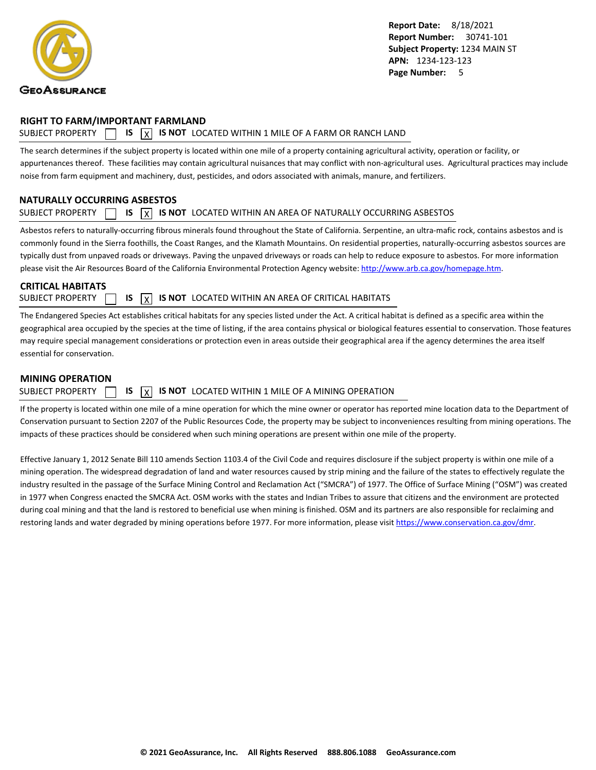<span id="page-6-0"></span>

#### **RIGHT TO FARM/IMPORTANT FARMLAND**

### SUBJECT PROPERTY  $\Box$  **IS**  $\overline{X}$  **IS NOT** LOCATED WITHIN 1 MILE OF A FARM OR RANCH LAND

The search determines if the subject property is located within one mile of a property containing agricultural activity, operation or facility, or appurtenances thereof. These facilities may contain agricultural nuisances that may conflict with non-agricultural uses. Agricultural practices may include noise from farm equipment and machinery, dust, pesticides, and odors associated with animals, manure, and fertilizers.

### **NATURALLY OCCURRING ASBESTOS**

#### SUBJECT PROPERTY  $\Box$  **IS**  $\overline{X}$  **IS NOT** LOCATED WITHIN AN AREA OF NATURALLY OCCURRING ASBESTOS

Asbestos refers to naturally-occurring fibrous minerals found throughout the State of California. Serpentine, an ultra-mafic rock, contains asbestos and is commonly found in the Sierra foothills, the Coast Ranges, and the Klamath Mountains. On residential properties, naturally-occurring asbestos sources are typically dust from unpaved roads or driveways. Paving the unpaved driveways or roads can help to reduce exposure to asbestos. For more information please visit the Air Resources Board of the California Environmental Protection Agency website:<http://www.arb.ca.gov/homepage.htm>.

### **CRITICAL HABITATS**

SUBJECT PROPERTY  $\Box$  **IS**  $\Box$  **IS NOT** LOCATED WITHIN AN AREA OF CRITICAL HABITATS

The Endangered Species Act establishes critical habitats for any species listed under the Act. A critical habitat is defined as a specific area within the geographical area occupied by the species at the time of listing, if the area contains physical or biological features essential to conservation. Those features may require special management considerations or protection even in areas outside their geographical area if the agency determines the area itself essential for conservation.

#### **MINING OPERATION**

SUBJECT PROPERTY  $\Box$  **IS**  $\overline{X}$  **IS NOT** LOCATED WITHIN 1 MILE OF A MINING OPERATION

If the property is located within one mile of a mine operation for which the mine owner or operator has reported mine location data to the Department of Conservation pursuant to Section 2207 of the Public Resources Code, the property may be subject to inconveniences resulting from mining operations. The impacts of these practices should be considered when such mining operations are present within one mile of the property.

Effective January 1, 2012 Senate Bill 110 amends Section 1103.4 of the Civil Code and requires disclosure if the subject property is within one mile of a mining operation. The widespread degradation of land and water resources caused by strip mining and the failure of the states to effectively regulate the industry resulted in the passage of the Surface Mining Control and Reclamation Act ("SMCRA") of 1977. The Office of Surface Mining ("OSM") was created in 1977 when Congress enacted the SMCRA Act. OSM works with the states and Indian Tribes to assure that citizens and the environment are protected during coal mining and that the land is restored to beneficial use when mining is finished. OSM and its partners are also responsible for reclaiming and restoring lands and water degraded by mining operations before 1977. For more information, please visit<https://www.conservation.ca.gov/dmr>.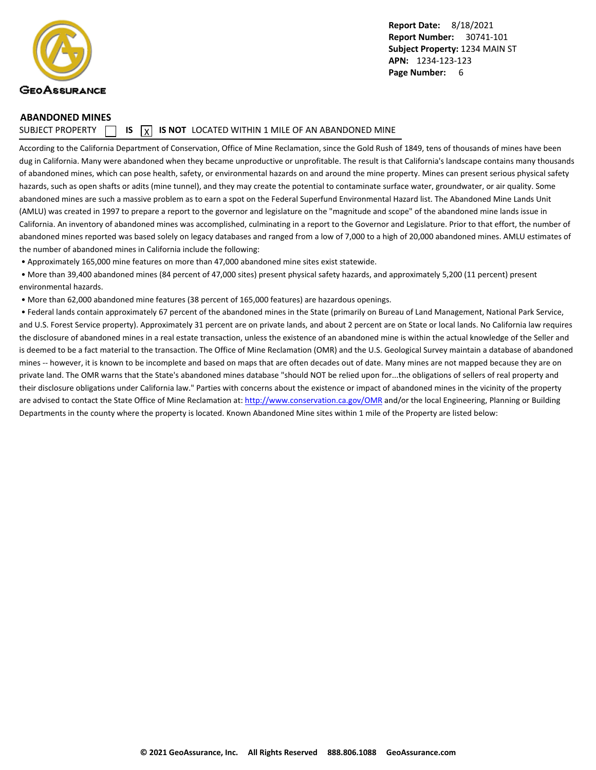<span id="page-7-0"></span>

#### **ABANDONED MINES**

SUBJECT PROPERTY  $\Box$  **IS**  $\overline{X}$  **IS NOT** LOCATED WITHIN 1 MILE OF AN ABANDONED MINE

According to the California Department of Conservation, Office of Mine Reclamation, since the Gold Rush of 1849, tens of thousands of mines have been dug in California. Many were abandoned when they became unproductive or unprofitable. The result is that California's landscape contains many thousands of abandoned mines, which can pose health, safety, or environmental hazards on and around the mine property. Mines can present serious physical safety hazards, such as open shafts or adits (mine tunnel), and they may create the potential to contaminate surface water, groundwater, or air quality. Some abandoned mines are such a massive problem as to earn a spot on the Federal Superfund Environmental Hazard list. The Abandoned Mine Lands Unit (AMLU) was created in 1997 to prepare a report to the governor and legislature on the "magnitude and scope" of the abandoned mine lands issue in California. An inventory of abandoned mines was accomplished, culminating in a report to the Governor and Legislature. Prior to that effort, the number of abandoned mines reported was based solely on legacy databases and ranged from a low of 7,000 to a high of 20,000 abandoned mines. AMLU estimates of the number of abandoned mines in California include the following:

• Approximately 165,000 mine features on more than 47,000 abandoned mine sites exist statewide.

 • More than 39,400 abandoned mines (84 percent of 47,000 sites) present physical safety hazards, and approximately 5,200 (11 percent) present environmental hazards.

• More than 62,000 abandoned mine features (38 percent of 165,000 features) are hazardous openings.

 • Federal lands contain approximately 67 percent of the abandoned mines in the State (primarily on Bureau of Land Management, National Park Service, and U.S. Forest Service property). Approximately 31 percent are on private lands, and about 2 percent are on State or local lands. No California law requires the disclosure of abandoned mines in a real estate transaction, unless the existence of an abandoned mine is within the actual knowledge of the Seller and is deemed to be a fact material to the transaction. The Office of Mine Reclamation (OMR) and the U.S. Geological Survey maintain a database of abandoned mines -- however, it is known to be incomplete and based on maps that are often decades out of date. Many mines are not mapped because they are on private land. The OMR warns that the State's abandoned mines database "should NOT be relied upon for...the obligations of sellers of real property and their disclosure obligations under California law." Parties with concerns about the existence or impact of abandoned mines in the vicinity of the property are advised to contact the State Office of Mine Reclamation at: [http://www.conservation.ca.gov/OMR](http://www.conservation.ca.gov/OMR") and/or the local Engineering, Planning or Building Departments in the county where the property is located. Known Abandoned Mine sites within 1 mile of the Property are listed below: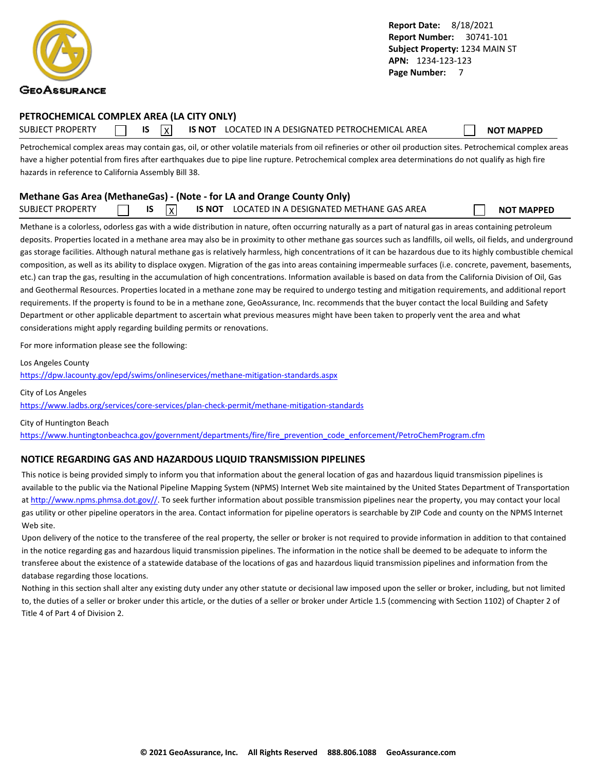<span id="page-8-0"></span>

#### **PETROCHEMICAL COMPLEX AREA (LA CITY ONLY)**

SUBJECT PROPERTY **IS** IS **INOT LOCATED IN A DESIGNATED PETROCHEMICAL AREA NOT MAPPED** 

Petrochemical complex areas may contain gas, oil, or other volatile materials from oil refineries or other oil production sites. Petrochemical complex areas have a higher potential from fires after earthquakes due to pipe line rupture. Petrochemical complex area determinations do not qualify as high fire hazards in reference to California Assembly Bill 38.

### **Methane Gas Area (MethaneGas) - (Note - for LA and Orange County Only)**

| <b>SUBJECT PROPERTY</b> |  |  | X | <b>IS NOT</b> | LOCATED IN A DESIGNATED METHANE GAS AREA |  | <b>NOT MAPPED</b> |
|-------------------------|--|--|---|---------------|------------------------------------------|--|-------------------|
|-------------------------|--|--|---|---------------|------------------------------------------|--|-------------------|

Methane is a colorless, odorless gas with a wide distribution in nature, often occurring naturally as a part of natural gas in areas containing petroleum deposits. Properties located in a methane area may also be in proximity to other methane gas sources such as landfills, oil wells, oil fields, and underground gas storage facilities. Although natural methane gas is relatively harmless, high concentrations of it can be hazardous due to its highly combustible chemical composition, as well as its ability to displace oxygen. Migration of the gas into areas containing impermeable surfaces (i.e. concrete, pavement, basements, etc.) can trap the gas, resulting in the accumulation of high concentrations. Information available is based on data from the California Division of Oil, Gas and Geothermal Resources. Properties located in a methane zone may be required to undergo testing and mitigation requirements, and additional report requirements. If the property is found to be in a methane zone, GeoAssurance, Inc. recommends that the buyer contact the local Building and Safety Department or other applicable department to ascertain what previous measures might have been taken to properly vent the area and what considerations might apply regarding building permits or renovations.

For more information please see the following:

Los Angeles County

<https://dpw.lacounty.gov/epd/swims/onlineservices/methane-mitigation-standards.aspx>

City of Los Angeles <https://www.ladbs.org/services/core-services/plan-check-permit/methane-mitigation-standards>

City of Huntington Beach [https://www.huntingtonbeachca.gov/government/departments/fire/fire\\_prevention\\_code\\_enforcement/PetroChemProgram.cfm](https://www.huntingtonbeachca.gov/government/departments/fire/fire_prevention_code_enforcement/PetroChemProgram.cfm)

### **NOTICE REGARDING GAS AND HAZARDOUS LIQUID TRANSMISSION PIPELINES**

This notice is being provided simply to inform you that information about the general location of gas and hazardous liquid transmission pipelines is available to the public via the National Pipeline Mapping System (NPMS) Internet Web site maintained by the United States Department of Transportation at [http://www.npms.phmsa.dot.gov//.](http://www.npms.phmsa.dot.gov/) To seek further information about possible transmission pipelines near the property, you may contact your local gas utility or other pipeline operators in the area. Contact information for pipeline operators is searchable by ZIP Code and county on the NPMS Internet Web site.

Upon delivery of the notice to the transferee of the real property, the seller or broker is not required to provide information in addition to that contained in the notice regarding gas and hazardous liquid transmission pipelines. The information in the notice shall be deemed to be adequate to inform the transferee about the existence of a statewide database of the locations of gas and hazardous liquid transmission pipelines and information from the database regarding those locations.

Nothing in this section shall alter any existing duty under any other statute or decisional law imposed upon the seller or broker, including, but not limited to, the duties of a seller or broker under this article, or the duties of a seller or broker under Article 1.5 (commencing with Section 1102) of Chapter 2 of Title 4 of Part 4 of Division 2.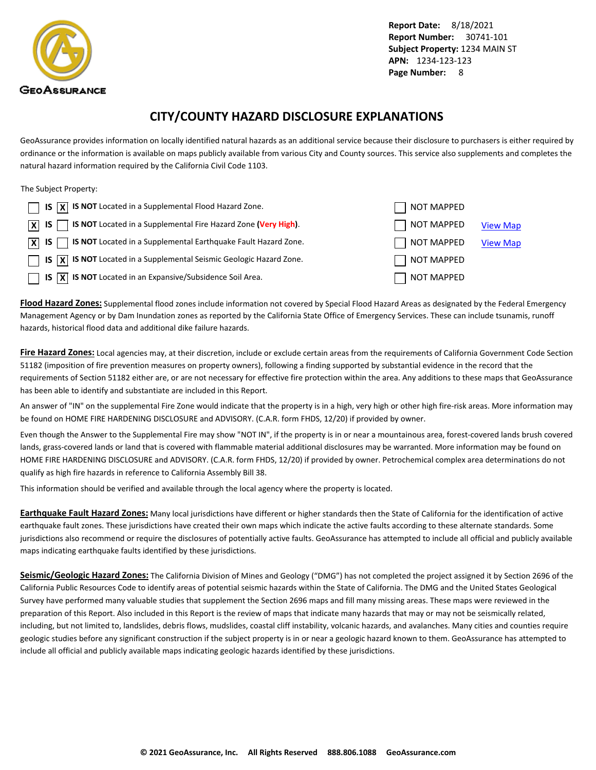<span id="page-9-0"></span>

### **CITY/COUNTY HAZARD DISCLOSURE EXPLANATIONS**

GeoAssurance provides information on locally identified natural hazards as an additional service because their disclosure to purchasers is either required by ordinance or the information is available on maps publicly available from various City and County sources. This service also supplements and completes the natural hazard information required by the California Civil Code 1103.

#### The Subject Property:

| $\Box$ IS $\overline{X}$ IS NOT Located in a Supplemental Flood Hazard Zone.                    | NOT MAPPED        |                 |
|-------------------------------------------------------------------------------------------------|-------------------|-----------------|
| <b>S NOT</b> Located in a Supplemental Fire Hazard Zone (Very High).<br>$\overline{X}$ IS       | NOT MAPPED        | <b>View Map</b> |
| $\overline{X}$ IS $\overline{X}$ IS NOT Located in a Supplemental Earthquake Fault Hazard Zone. | $\Box$ NOT MAPPED | <b>View Map</b> |
| $\Box$ IS $\overline{X}$ IS NOT Located in a Supplemental Seismic Geologic Hazard Zone.         | NOT MAPPED        |                 |
| <b>IS</b> $\overline{X}$ IS NOT Located in an Expansive/Subsidence Soil Area.                   | NOT MAPPED        |                 |

**Flood Hazard Zones:** Supplemental flood zones include information not covered by Special Flood Hazard Areas as designated by the Federal Emergency Management Agency or by Dam Inundation zones as reported by the California State Office of Emergency Services. These can include tsunamis, runoff hazards, historical flood data and additional dike failure hazards.

**Fire Hazard Zones:** Local agencies may, at their discretion, include or exclude certain areas from the requirements of California Government Code Section 51182 (imposition of fire prevention measures on property owners), following a finding supported by substantial evidence in the record that the requirements of Section 51182 either are, or are not necessary for effective fire protection within the area. Any additions to these maps that GeoAssurance has been able to identify and substantiate are included in this Report.

An answer of "IN" on the supplemental Fire Zone would indicate that the property is in a high, very high or other high fire-risk areas. More information may be found on HOME FIRE HARDENING DISCLOSURE and ADVISORY. (C.A.R. form FHDS, 12/20) if provided by owner.

Even though the Answer to the Supplemental Fire may show "NOT IN", if the property is in or near a mountainous area, forest-covered lands brush covered lands, grass-covered lands or land that is covered with flammable material additional disclosures may be warranted. More information may be found on HOME FIRE HARDENING DISCLOSURE and ADVISORY. (C.A.R. form FHDS, 12/20) if provided by owner. Petrochemical complex area determinations do not qualify as high fire hazards in reference to California Assembly Bill 38.

This information should be verified and available through the local agency where the property is located.

**Earthquake Fault Hazard Zones:** Many local jurisdictions have different or higher standards then the State of California for the identification of active earthquake fault zones. These jurisdictions have created their own maps which indicate the active faults according to these alternate standards. Some jurisdictions also recommend or require the disclosures of potentially active faults. GeoAssurance has attempted to include all official and publicly available maps indicating earthquake faults identified by these jurisdictions.

**Seismic/Geologic Hazard Zones:** The California Division of Mines and Geology ("DMG") has not completed the project assigned it by Section 2696 of the California Public Resources Code to identify areas of potential seismic hazards within the State of California. The DMG and the United States Geological Survey have performed many valuable studies that supplement the Section 2696 maps and fill many missing areas. These maps were reviewed in the preparation of this Report. Also included in this Report is the review of maps that indicate many hazards that may or may not be seismically related, including, but not limited to, landslides, debris flows, mudslides, coastal cliff instability, volcanic hazards, and avalanches. Many cities and counties require geologic studies before any significant construction if the subject property is in or near a geologic hazard known to them. GeoAssurance has attempted to include all official and publicly available maps indicating geologic hazards identified by these jurisdictions.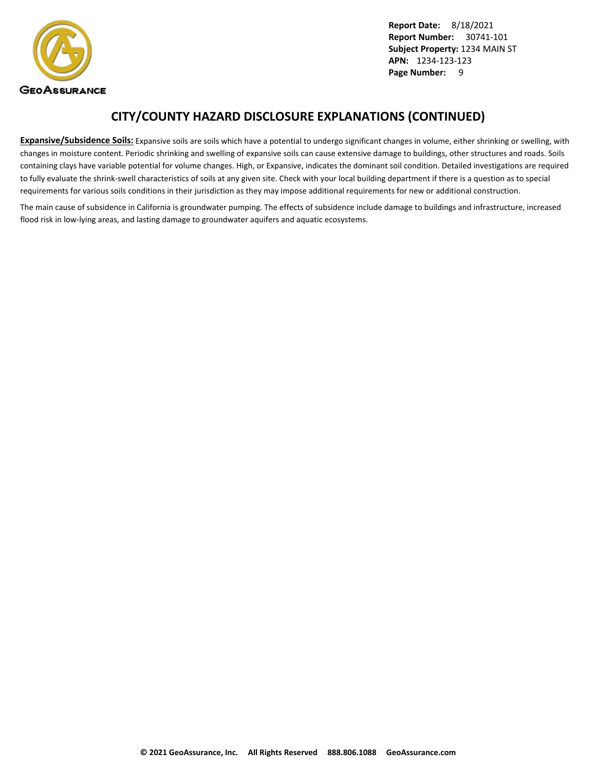

### **CITY/COUNTY HAZARD DISCLOSURE EXPLANATIONS (CONTINUED)**

**Expansive/Subsidence Soils:** Expansive soils are soils which have a potential to undergo significant changes in volume, either shrinking or swelling, with changes in moisture content. Periodic shrinking and swelling of expansive soils can cause extensive damage to buildings, other structures and roads. Soils containing clays have variable potential for volume changes. High, or Expansive, indicates the dominant soil condition. Detailed investigations are required to fully evaluate the shrink-swell characteristics of soils at any given site. Check with your local building department if there is a question as to special requirements for various soils conditions in their jurisdiction as they may impose additional requirements for new or additional construction.

The main cause of subsidence in California is groundwater pumping. The effects of subsidence include damage to buildings and infrastructure, increased flood risk in low-lying areas, and lasting damage to groundwater aquifers and aquatic ecosystems.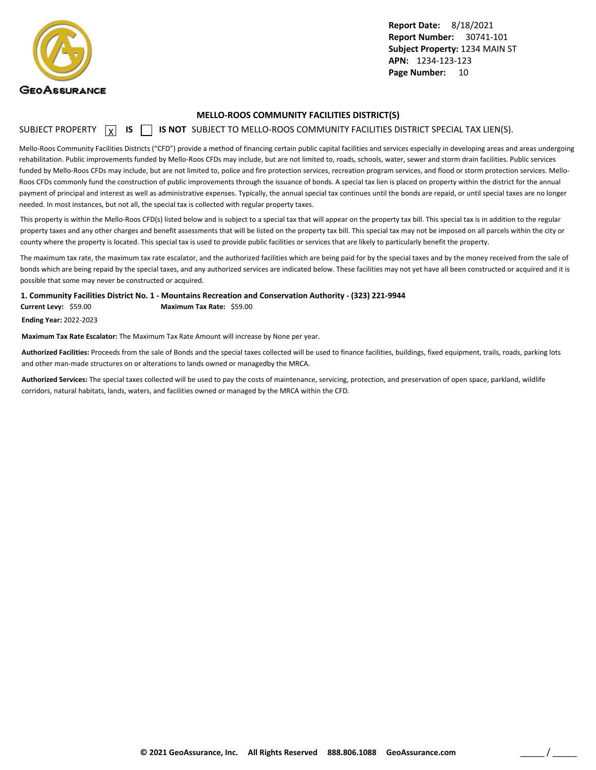<span id="page-11-0"></span>

#### **MELLO-ROOS COMMUNITY FACILITIES DISTRICT(S)**

### SUBJECT PROPERTY **X** IS **S** IS NOT SUBJECT TO MELLO-ROOS COMMUNITY FACILITIES DISTRICT SPECIAL TAX LIEN(S).

Mello-Roos Community Facilities Districts ("CFD") provide a method of financing certain public capital facilities and services especially in developing areas and areas undergoing rehabilitation. Public improvements funded by Mello-Roos CFDs may include, but are not limited to, roads, schools, water, sewer and storm drain facilities. Public services funded by Mello-Roos CFDs may include, but are not limited to, police and fire protection services, recreation program services, and flood or storm protection services. Mello-Roos CFDs commonly fund the construction of public improvements through the issuance of bonds. A special tax lien is placed on property within the district for the annual payment of principal and interest as well as administrative expenses. Typically, the annual special tax continues until the bonds are repaid, or until special taxes are no longer needed. In most instances, but not all, the special tax is collected with regular property taxes.

This property is within the Mello-Roos CFD(s) listed below and is subject to a special tax that will appear on the property tax bill. This special tax is in addition to the regular property taxes and any other charges and benefit assessments that will be listed on the property tax bill. This special tax may not be imposed on all parcels within the city or county where the property is located. This special tax is used to provide public facilities or services that are likely to particularly benefit the property.

The maximum tax rate, the maximum tax rate escalator, and the authorized facilities which are being paid for by the special taxes and by the money received from the sale of bonds which are being repaid by the special taxes, and any authorized services are indicated below. These facilities may not yet have all been constructed or acquired and it is possible that some may never be constructed or acquired.

**1. Community Facilities District No. 1 - Mountains Recreation and Conservation Authority - (323) 221-9944**

**Current Levy:** \$59.00 **Maximum Tax Rate:** \$59.00

**Ending Year:** 2022-2023

**Maximum Tax Rate Escalator:** The Maximum Tax Rate Amount will increase by None per year.

**Authorized Facilities:** Proceeds from the sale of Bonds and the special taxes collected will be used to finance facilities, buildings, fixed equipment, trails, roads, parking lots and other man-made structures on or alterations to lands owned or managedby the MRCA.

**Authorized Services:** The special taxes collected will be used to pay the costs of maintenance, servicing, protection, and preservation of open space, parkland, wildlife corridors, natural habitats, lands, waters, and facilities owned or managed by the MRCA within the CFD.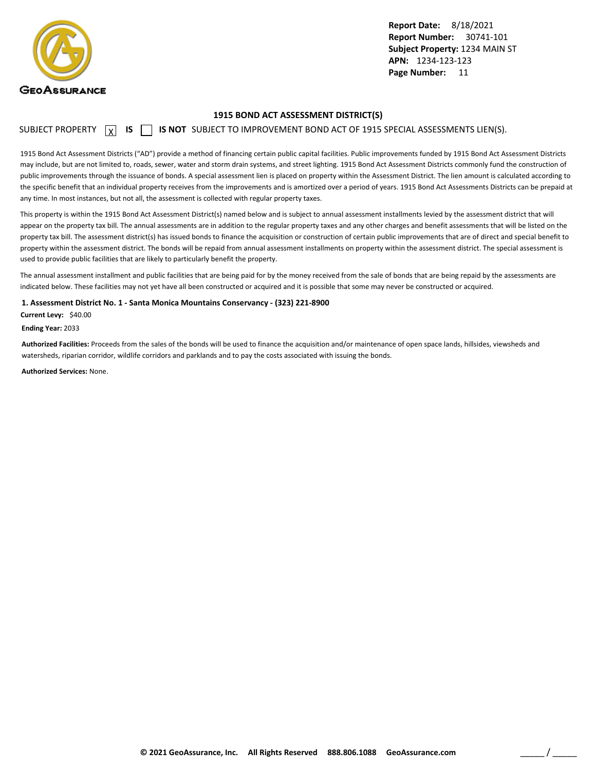<span id="page-12-0"></span>

#### **1915 BOND ACT ASSESSMENT DISTRICT(S)**

SUBJECT PROPERTY  $\boxed{\chi}$  **IS**  $\boxed{\phantom{\chi}}$  **IS NOT** SUBJECT TO IMPROVEMENT BOND ACT OF 1915 SPECIAL ASSESSMENTS LIEN(S).

1915 Bond Act Assessment Districts ("AD") provide a method of financing certain public capital facilities. Public improvements funded by 1915 Bond Act Assessment Districts may include, but are not limited to, roads, sewer, water and storm drain systems, and street lighting. 1915 Bond Act Assessment Districts commonly fund the construction of public improvements through the issuance of bonds. A special assessment lien is placed on property within the Assessment District. The lien amount is calculated according to the specific benefit that an individual property receives from the improvements and is amortized over a period of years. 1915 Bond Act Assessments Districts can be prepaid at any time. In most instances, but not all, the assessment is collected with regular property taxes.

This property is within the 1915 Bond Act Assessment District(s) named below and is subject to annual assessment installments levied by the assessment district that will appear on the property tax bill. The annual assessments are in addition to the regular property taxes and any other charges and benefit assessments that will be listed on the property tax bill. The assessment district(s) has issued bonds to finance the acquisition or construction of certain public improvements that are of direct and special benefit to property within the assessment district. The bonds will be repaid from annual assessment installments on property within the assessment district. The special assessment is used to provide public facilities that are likely to particularly benefit the property.

The annual assessment installment and public facilities that are being paid for by the money received from the sale of bonds that are being repaid by the assessments are indicated below. These facilities may not yet have all been constructed or acquired and it is possible that some may never be constructed or acquired.

**1. Assessment District No. 1 - Santa Monica Mountains Conservancy - (323) 221-8900**

**Current Levy:** \$40.00

**Ending Year:** 2033

**Authorized Facilities:** Proceeds from the sales of the bonds will be used to finance the acquisition and/or maintenance of open space lands, hillsides, viewsheds and watersheds, riparian corridor, wildlife corridors and parklands and to pay the costs associated with issuing the bonds.

**Authorized Services:** None.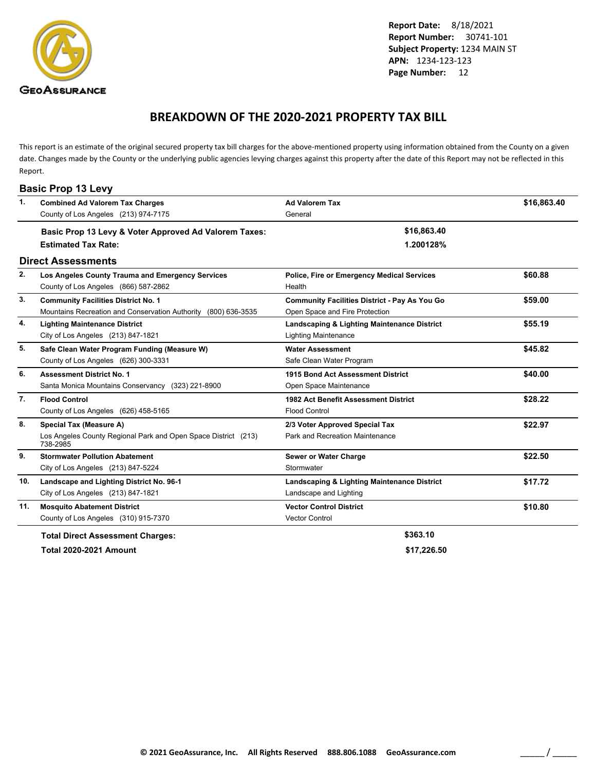<span id="page-13-0"></span>

### **BREAKDOWN OF THE 2020-2021 PROPERTY TAX BILL**

This report is an estimate of the original secured property tax bill charges for the above-mentioned property using information obtained from the County on a given date. Changes made by the County or the underlying public agencies levying charges against this property after the date of this Report may not be reflected in this Report.

|     | <b>Basic Prop 13 Levy</b>                                                  |                                                      |             |
|-----|----------------------------------------------------------------------------|------------------------------------------------------|-------------|
| 1.  | <b>Combined Ad Valorem Tax Charges</b>                                     | <b>Ad Valorem Tax</b>                                | \$16,863.40 |
|     | County of Los Angeles (213) 974-7175                                       | General                                              |             |
|     | Basic Prop 13 Levy & Voter Approved Ad Valorem Taxes:                      | \$16,863.40                                          |             |
|     | <b>Estimated Tax Rate:</b>                                                 | 1.200128%                                            |             |
|     | <b>Direct Assessments</b>                                                  |                                                      |             |
| 2.  | Los Angeles County Trauma and Emergency Services                           | <b>Police, Fire or Emergency Medical Services</b>    | \$60.88     |
|     | County of Los Angeles (866) 587-2862                                       | Health                                               |             |
| 3.  | <b>Community Facilities District No. 1</b>                                 | <b>Community Facilities District - Pay As You Go</b> | \$59.00     |
|     | Mountains Recreation and Conservation Authority (800) 636-3535             | Open Space and Fire Protection                       |             |
| 4.  | <b>Lighting Maintenance District</b>                                       | Landscaping & Lighting Maintenance District          | \$55.19     |
|     | City of Los Angeles (213) 847-1821                                         | <b>Lighting Maintenance</b>                          |             |
| 5.  | Safe Clean Water Program Funding (Measure W)                               | <b>Water Assessment</b>                              | \$45.82     |
|     | County of Los Angeles (626) 300-3331                                       | Safe Clean Water Program                             |             |
| 6.  | <b>Assessment District No. 1</b>                                           | 1915 Bond Act Assessment District                    | \$40.00     |
|     | Santa Monica Mountains Conservancy (323) 221-8900                          | Open Space Maintenance                               |             |
| 7.  | <b>Flood Control</b>                                                       | 1982 Act Benefit Assessment District                 | \$28.22     |
|     | County of Los Angeles (626) 458-5165                                       | <b>Flood Control</b>                                 |             |
| 8.  | <b>Special Tax (Measure A)</b>                                             | 2/3 Voter Approved Special Tax                       | \$22.97     |
|     | Los Angeles County Regional Park and Open Space District (213)<br>738-2985 | Park and Recreation Maintenance                      |             |
| 9.  | <b>Stormwater Pollution Abatement</b>                                      | Sewer or Water Charge                                | \$22.50     |
|     | City of Los Angeles (213) 847-5224                                         | Stormwater                                           |             |
| 10. | Landscape and Lighting District No. 96-1                                   | Landscaping & Lighting Maintenance District          | \$17.72     |
|     | City of Los Angeles (213) 847-1821                                         | Landscape and Lighting                               |             |
| 11. | <b>Mosquito Abatement District</b>                                         | <b>Vector Control District</b>                       | \$10.80     |
|     | County of Los Angeles (310) 915-7370                                       | <b>Vector Control</b>                                |             |
|     | <b>Total Direct Assessment Charges:</b>                                    | \$363.10                                             |             |

**Total 2020-2021 Amount \$17,226.50**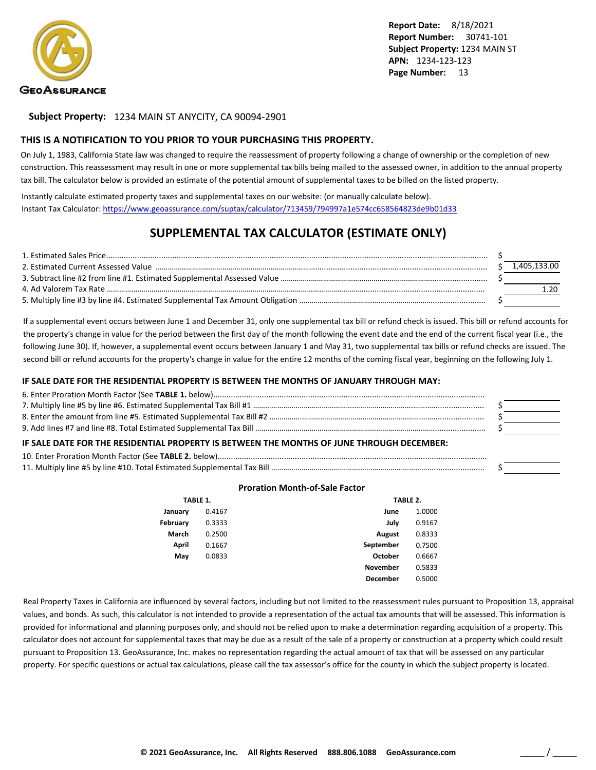

**Subject Property:** 1234 MAIN ST ANYCITY, CA 90094-2901

#### **THIS IS A NOTIFICATION TO YOU PRIOR TO YOUR PURCHASING THIS PROPERTY.**

On July 1, 1983, California State law was changed to require the reassessment of property following a change of ownership or the completion of new construction. This reassessment may result in one or more supplemental tax bills being mailed to the assessed owner, in addition to the annual property tax bill. The calculator below is provided an estimate of the potential amount of supplemental taxes to be billed on the listed property.

Instantly calculate estimated property taxes and supplemental taxes on our website: (or manually calculate below). Instant Tax Calculator: <https://www.geoassurance.com/suptax/calculator/713459/794997a1e574cc658564823de9b01d33>

### **SUPPLEMENTAL TAX CALCULATOR (ESTIMATE ONLY)**

|  | 1.405.133.00 |
|--|--------------|
|  |              |
|  |              |
|  |              |

If a supplemental event occurs between June 1 and December 31, only one supplemental tax bill or refund check is issued. This bill or refund accounts for the property's change in value for the period between the first day of the month following the event date and the end of the current fiscal year (i.e., the following June 30). If, however, a supplemental event occurs between January 1 and May 31, two supplemental tax bills or refund checks are issued. The second bill or refund accounts for the property's change in value for the entire 12 months of the coming fiscal year, beginning on the following July 1.

#### **IF SALE DATE FOR THE RESIDENTIAL PROPERTY IS BETWEEN THE MONTHS OF JANUARY THROUGH MAY:**

| IF SALE DATE FOR THE RESIDENTIAL PROPERTY IS BETWEEN THE MONTHS OF JUNE THROUGH DECEMBER: |  |
|-------------------------------------------------------------------------------------------|--|
|                                                                                           |  |
|                                                                                           |  |

#### **Proration Month-of-Sale Factor**

| TABLE 1. |        |                 | TABLE 2. |  |  |
|----------|--------|-----------------|----------|--|--|
| January  | 0.4167 | June            | 1.0000   |  |  |
| February | 0.3333 | July            | 0.9167   |  |  |
| March    | 0.2500 | <b>August</b>   | 0.8333   |  |  |
| April    | 0.1667 | September       | 0.7500   |  |  |
| May      | 0.0833 | October         | 0.6667   |  |  |
|          |        | <b>November</b> | 0.5833   |  |  |
|          |        | <b>December</b> | 0.5000   |  |  |

Real Property Taxes in California are influenced by several factors, including but not limited to the reassessment rules pursuant to Proposition 13, appraisal values, and bonds. As such, this calculator is not intended to provide a representation of the actual tax amounts that will be assessed. This information is provided for informational and planning purposes only, and should not be relied upon to make a determination regarding acquisition of a property. This calculator does not account for supplemental taxes that may be due as a result of the sale of a property or construction at a property which could result pursuant to Proposition 13. GeoAssurance, Inc. makes no representation regarding the actual amount of tax that will be assessed on any particular property. For specific questions or actual tax calculations, please call the tax assessor's office for the county in which the subject property is located.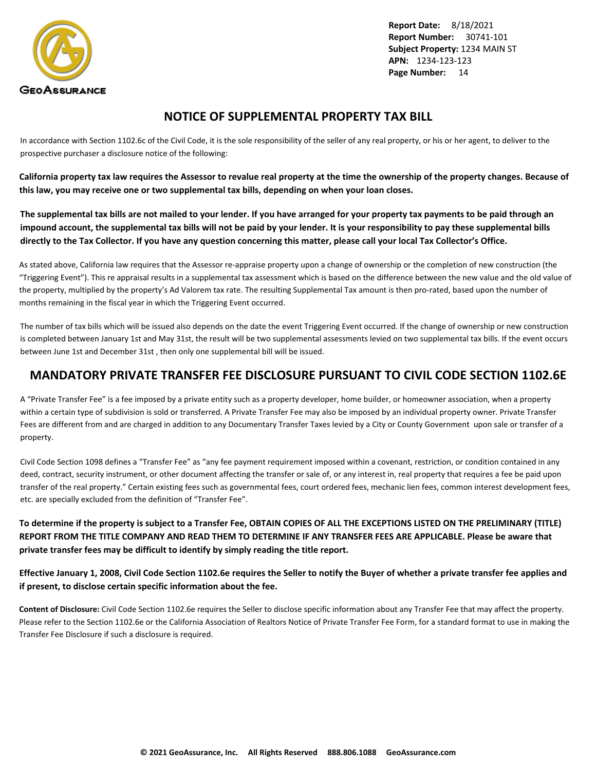<span id="page-15-0"></span>

### **NOTICE OF SUPPLEMENTAL PROPERTY TAX BILL**

In accordance with Section 1102.6c of the Civil Code, it is the sole responsibility of the seller of any real property, or his or her agent, to deliver to the prospective purchaser a disclosure notice of the following:

**California property tax law requires the Assessor to revalue real property at the time the ownership of the property changes. Because of this law, you may receive one or two supplemental tax bills, depending on when your loan closes.**

**The supplemental tax bills are not mailed to your lender. If you have arranged for your property tax payments to be paid through an impound account, the supplemental tax bills will not be paid by your lender. It is your responsibility to pay these supplemental bills directly to the Tax Collector. If you have any question concerning this matter, please call your local Tax Collector's Office.**

As stated above, California law requires that the Assessor re-appraise property upon a change of ownership or the completion of new construction (the "Triggering Event"). This re appraisal results in a supplemental tax assessment which is based on the difference between the new value and the old value of the property, multiplied by the property's Ad Valorem tax rate. The resulting Supplemental Tax amount is then pro-rated, based upon the number of months remaining in the fiscal year in which the Triggering Event occurred.

The number of tax bills which will be issued also depends on the date the event Triggering Event occurred. If the change of ownership or new construction is completed between January 1st and May 31st, the result will be two supplemental assessments levied on two supplemental tax bills. If the event occurs between June 1st and December 31st , then only one supplemental bill will be issued.

### **MANDATORY PRIVATE TRANSFER FEE DISCLOSURE PURSUANT TO CIVIL CODE SECTION 1102.6E**

A "Private Transfer Fee" is a fee imposed by a private entity such as a property developer, home builder, or homeowner association, when a property within a certain type of subdivision is sold or transferred. A Private Transfer Fee may also be imposed by an individual property owner. Private Transfer Fees are different from and are charged in addition to any Documentary Transfer Taxes levied by a City or County Government upon sale or transfer of a property.

Civil Code Section 1098 defines a "Transfer Fee" as "any fee payment requirement imposed within a covenant, restriction, or condition contained in any deed, contract, security instrument, or other document affecting the transfer or sale of, or any interest in, real property that requires a fee be paid upon transfer of the real property." Certain existing fees such as governmental fees, court ordered fees, mechanic lien fees, common interest development fees, etc. are specially excluded from the definition of "Transfer Fee".

**To determine if the property is subject to a Transfer Fee, OBTAIN COPIES OF ALL THE EXCEPTIONS LISTED ON THE PRELIMINARY (TITLE) REPORT FROM THE TITLE COMPANY AND READ THEM TO DETERMINE IF ANY TRANSFER FEES ARE APPLICABLE. Please be aware that private transfer fees may be difficult to identify by simply reading the title report.**

**Effective January 1, 2008, Civil Code Section 1102.6e requires the Seller to notify the Buyer of whether a private transfer fee applies and if present, to disclose certain specific information about the fee.**

**Content of Disclosure:** Civil Code Section 1102.6e requires the Seller to disclose specific information about any Transfer Fee that may affect the property. Please refer to the Section 1102.6e or the California Association of Realtors Notice of Private Transfer Fee Form, for a standard format to use in making the Transfer Fee Disclosure if such a disclosure is required.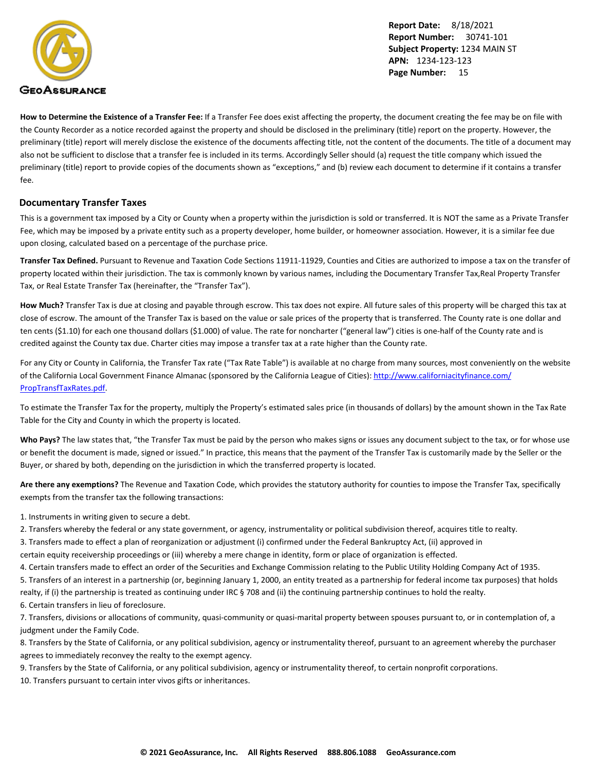

**How to Determine the Existence of a Transfer Fee:** If a Transfer Fee does exist affecting the property, the document creating the fee may be on file with the County Recorder as a notice recorded against the property and should be disclosed in the preliminary (title) report on the property. However, the preliminary (title) report will merely disclose the existence of the documents affecting title, not the content of the documents. The title of a document may also not be sufficient to disclose that a transfer fee is included in its terms. Accordingly Seller should (a) request the title company which issued the preliminary (title) report to provide copies of the documents shown as "exceptions," and (b) review each document to determine if it contains a transfer fee.

#### **Documentary Transfer Taxes**

This is a government tax imposed by a City or County when a property within the jurisdiction is sold or transferred. It is NOT the same as a Private Transfer Fee, which may be imposed by a private entity such as a property developer, home builder, or homeowner association. However, it is a similar fee due upon closing, calculated based on a percentage of the purchase price.

**Transfer Tax Defined.** Pursuant to Revenue and Taxation Code Sections 11911-11929, Counties and Cities are authorized to impose a tax on the transfer of property located within their jurisdiction. The tax is commonly known by various names, including the Documentary Transfer Tax,Real Property Transfer Tax, or Real Estate Transfer Tax (hereinafter, the "Transfer Tax").

**How Much?** Transfer Tax is due at closing and payable through escrow. This tax does not expire. All future sales of this property will be charged this tax at close of escrow. The amount of the Transfer Tax is based on the value or sale prices of the property that is transferred. The County rate is one dollar and ten cents (\$1.10) for each one thousand dollars (\$1.000) of value. The rate for noncharter ("general law") cities is one-half of the County rate and is credited against the County tax due. Charter cities may impose a transfer tax at a rate higher than the County rate.

For any City or County in California, the Transfer Tax rate ("Tax Rate Table") is available at no charge from many sources, most conveniently on the website of the California Local Government Finance Almanac (sponsored by the California League of Cities): [http://www.californiacityfinance.com/](http://www.californiacityfinance.com/PropTransfTaxRates.pdf) [PropTransfTaxRates.pdf](http://www.californiacityfinance.com/PropTransfTaxRates.pdf).

To estimate the Transfer Tax for the property, multiply the Property's estimated sales price (in thousands of dollars) by the amount shown in the Tax Rate Table for the City and County in which the property is located.

Who Pays? The law states that, "the Transfer Tax must be paid by the person who makes signs or issues any document subject to the tax, or for whose use or benefit the document is made, signed or issued." In practice, this means that the payment of the Transfer Tax is customarily made by the Seller or the Buyer, or shared by both, depending on the jurisdiction in which the transferred property is located.

**Are there any exemptions?** The Revenue and Taxation Code, which provides the statutory authority for counties to impose the Transfer Tax, specifically exempts from the transfer tax the following transactions:

1. Instruments in writing given to secure a debt.

2. Transfers whereby the federal or any state government, or agency, instrumentality or political subdivision thereof, acquires title to realty.

3. Transfers made to effect a plan of reorganization or adjustment (i) confirmed under the Federal Bankruptcy Act, (ii) approved in

certain equity receivership proceedings or (iii) whereby a mere change in identity, form or place of organization is effected.

4. Certain transfers made to effect an order of the Securities and Exchange Commission relating to the Public Utility Holding Company Act of 1935.

5. Transfers of an interest in a partnership (or, beginning January 1, 2000, an entity treated as a partnership for federal income tax purposes) that holds realty, if (i) the partnership is treated as continuing under IRC § 708 and (ii) the continuing partnership continues to hold the realty.

6. Certain transfers in lieu of foreclosure.

7. Transfers, divisions or allocations of community, quasi-community or quasi-marital property between spouses pursuant to, or in contemplation of, a judgment under the Family Code.

8. Transfers by the State of California, or any political subdivision, agency or instrumentality thereof, pursuant to an agreement whereby the purchaser agrees to immediately reconvey the realty to the exempt agency.

9. Transfers by the State of California, or any political subdivision, agency or instrumentality thereof, to certain nonprofit corporations.

10. Transfers pursuant to certain inter vivos gifts or inheritances.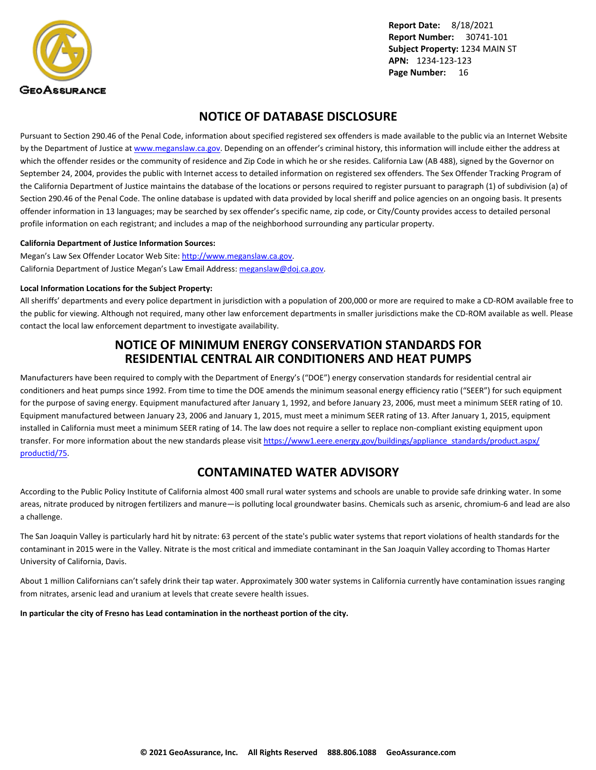<span id="page-17-0"></span>

### **NOTICE OF DATABASE DISCLOSURE**

Pursuant to Section 290.46 of the Penal Code, information about specified registered sex offenders is made available to the public via an Internet Website by the Department of Justice at <www.meganslaw.ca.gov>. Depending on an offender's criminal history, this information will include either the address at which the offender resides or the community of residence and Zip Code in which he or she resides. California Law (AB 488), signed by the Governor on September 24, 2004, provides the public with Internet access to detailed information on registered sex offenders. The Sex Offender Tracking Program of the California Department of Justice maintains the database of the locations or persons required to register pursuant to paragraph (1) of subdivision (a) of Section 290.46 of the Penal Code. The online database is updated with data provided by local sheriff and police agencies on an ongoing basis. It presents offender information in 13 languages; may be searched by sex offender's specific name, zip code, or City/County provides access to detailed personal profile information on each registrant; and includes a map of the neighborhood surrounding any particular property.

#### **California Department of Justice Information Sources:**

Megan's Law Sex Offender Locator Web Site: <http://www.meganslaw.ca.gov>. California Department of Justice Megan's Law Email Address: [meganslaw@doj.ca.gov](mailto:meganslaw@doj.ca.gov).

#### **Local Information Locations for the Subject Property:**

All sheriffs' departments and every police department in jurisdiction with a population of 200,000 or more are required to make a CD-ROM available free to the public for viewing. Although not required, many other law enforcement departments in smaller jurisdictions make the CD-ROM available as well. Please contact the local law enforcement department to investigate availability.

### **NOTICE OF MINIMUM ENERGY CONSERVATION STANDARDS FOR RESIDENTIAL CENTRAL AIR CONDITIONERS AND HEAT PUMPS**

Manufacturers have been required to comply with the Department of Energy's ("DOE") energy conservation standards for residential central air conditioners and heat pumps since 1992. From time to time the DOE amends the minimum seasonal energy efficiency ratio ("SEER") for such equipment for the purpose of saving energy. Equipment manufactured after January 1, 1992, and before January 23, 2006, must meet a minimum SEER rating of 10. Equipment manufactured between January 23, 2006 and January 1, 2015, must meet a minimum SEER rating of 13. After January 1, 2015, equipment installed in California must meet a minimum SEER rating of 14. The law does not require a seller to replace non-compliant existing equipment upon transfer. For more information about the new standards please visit [https://www1.eere.energy.gov/buildings/appliance\\_standards/product.aspx/](https://www1.eere.energy.gov/buildings/appliance_standards/product.aspx/productid/75) [productid/75.](https://www1.eere.energy.gov/buildings/appliance_standards/product.aspx/productid/75)

### **CONTAMINATED WATER ADVISORY**

According to the Public Policy Institute of California almost 400 small rural water systems and schools are unable to provide safe drinking water. In some areas, nitrate produced by nitrogen fertilizers and manure—is polluting local groundwater basins. Chemicals such as arsenic, chromium-6 and lead are also a challenge.

The San Joaquin Valley is particularly hard hit by nitrate: 63 percent of the state's public water systems that report violations of health standards for the contaminant in 2015 were in the Valley. Nitrate is the most critical and immediate contaminant in the San Joaquin Valley according to Thomas Harter University of California, Davis.

About 1 million Californians can't safely drink their tap water. Approximately 300 water systems in California currently have contamination issues ranging from nitrates, arsenic lead and uranium at levels that create severe health issues.

**In particular the city of Fresno has Lead contamination in the northeast portion of the city.**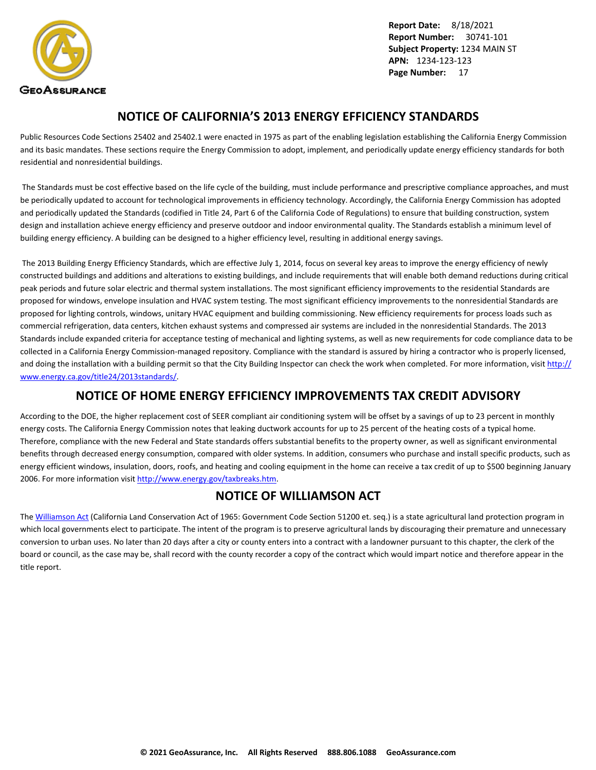<span id="page-18-0"></span>

### **NOTICE OF CALIFORNIA'S 2013 ENERGY EFFICIENCY STANDARDS**

Public Resources Code Sections 25402 and 25402.1 were enacted in 1975 as part of the enabling legislation establishing the California Energy Commission and its basic mandates. These sections require the Energy Commission to adopt, implement, and periodically update energy efficiency standards for both residential and nonresidential buildings.

 The Standards must be cost effective based on the life cycle of the building, must include performance and prescriptive compliance approaches, and must be periodically updated to account for technological improvements in efficiency technology. Accordingly, the California Energy Commission has adopted and periodically updated the Standards (codified in Title 24, Part 6 of the California Code of Regulations) to ensure that building construction, system design and installation achieve energy efficiency and preserve outdoor and indoor environmental quality. The Standards establish a minimum level of building energy efficiency. A building can be designed to a higher efficiency level, resulting in additional energy savings.

 The 2013 Building Energy Efficiency Standards, which are effective July 1, 2014, focus on several key areas to improve the energy efficiency of newly constructed buildings and additions and alterations to existing buildings, and include requirements that will enable both demand reductions during critical peak periods and future solar electric and thermal system installations. The most significant efficiency improvements to the residential Standards are proposed for windows, envelope insulation and HVAC system testing. The most significant efficiency improvements to the nonresidential Standards are proposed for lighting controls, windows, unitary HVAC equipment and building commissioning. New efficiency requirements for process loads such as commercial refrigeration, data centers, kitchen exhaust systems and compressed air systems are included in the nonresidential Standards. The 2013 Standards include expanded criteria for acceptance testing of mechanical and lighting systems, as well as new requirements for code compliance data to be collected in a California Energy Commission-managed repository. Compliance with the standard is assured by hiring a contractor who is properly licensed, and doing the installation with a building permit so that the City Building Inspector can check the work when completed. For more information, visit [http://](http://www.energy.ca.gov/title24/2013standards/) [www.energy.ca.gov/title24/2013standards/](http://www.energy.ca.gov/title24/2013standards/).

### **NOTICE OF HOME ENERGY EFFICIENCY IMPROVEMENTS TAX CREDIT ADVISORY**

According to the DOE, the higher replacement cost of SEER compliant air conditioning system will be offset by a savings of up to 23 percent in monthly energy costs. The California Energy Commission notes that leaking ductwork accounts for up to 25 percent of the heating costs of a typical home. Therefore, compliance with the new Federal and State standards offers substantial benefits to the property owner, as well as significant environmental benefits through decreased energy consumption, compared with older systems. In addition, consumers who purchase and install specific products, such as energy efficient windows, insulation, doors, roofs, and heating and cooling equipment in the home can receive a tax credit of up to \$500 beginning January 2006. For more information visit [http://www.energy.gov/taxbreaks.htm.](http://www.energy.gov/taxbreaks.htm)

### **NOTICE OF WILLIAMSON ACT**

The [Williamson Act](http://www.conservation.ca.gov/dlrp/lca) (California Land Conservation Act of 1965: Government Code Section 51200 et. seq.) is a state agricultural land protection program in which local governments elect to participate. The intent of the program is to preserve agricultural lands by discouraging their premature and unnecessary conversion to urban uses. No later than 20 days after a city or county enters into a contract with a landowner pursuant to this chapter, the clerk of the board or council, as the case may be, shall record with the county recorder a copy of the contract which would impart notice and therefore appear in the title report.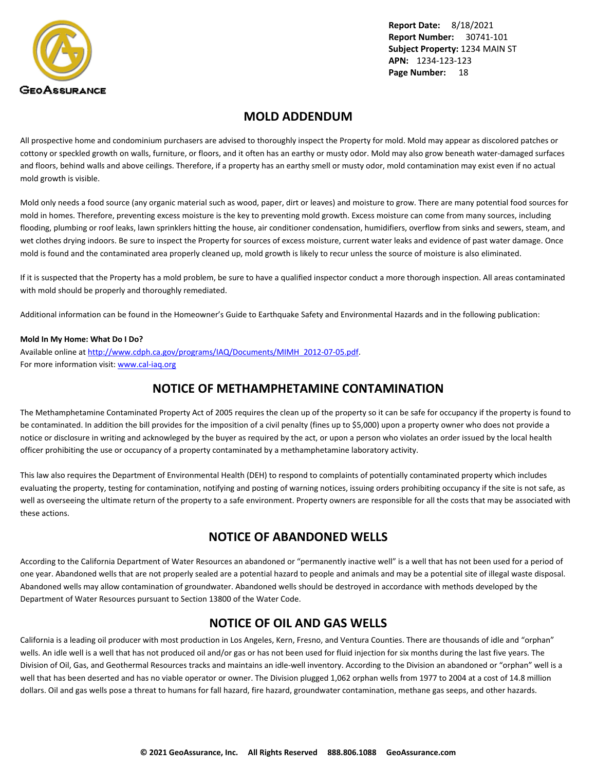<span id="page-19-0"></span>

### **MOLD ADDENDUM**

All prospective home and condominium purchasers are advised to thoroughly inspect the Property for mold. Mold may appear as discolored patches or cottony or speckled growth on walls, furniture, or floors, and it often has an earthy or musty odor. Mold may also grow beneath water-damaged surfaces and floors, behind walls and above ceilings. Therefore, if a property has an earthy smell or musty odor, mold contamination may exist even if no actual mold growth is visible.

Mold only needs a food source (any organic material such as wood, paper, dirt or leaves) and moisture to grow. There are many potential food sources for mold in homes. Therefore, preventing excess moisture is the key to preventing mold growth. Excess moisture can come from many sources, including flooding, plumbing or roof leaks, lawn sprinklers hitting the house, air conditioner condensation, humidifiers, overflow from sinks and sewers, steam, and wet clothes drying indoors. Be sure to inspect the Property for sources of excess moisture, current water leaks and evidence of past water damage. Once mold is found and the contaminated area properly cleaned up, mold growth is likely to recur unless the source of moisture is also eliminated.

If it is suspected that the Property has a mold problem, be sure to have a qualified inspector conduct a more thorough inspection. All areas contaminated with mold should be properly and thoroughly remediated.

Additional information can be found in the Homeowner's Guide to Earthquake Safety and Environmental Hazards and in the following publication:

#### **Mold In My Home: What Do I Do?**

Available online at [http://www.cdph.ca.gov/programs/IAQ/Documents/MIMH\\_2012-07-05.pdf](http://www.cdph.ca.gov/programs/IAQ/Documents/MIMH_2012-07-05.pdf). For more information visit: <www.cal-iaq.org>

### **NOTICE OF METHAMPHETAMINE CONTAMINATION**

The Methamphetamine Contaminated Property Act of 2005 requires the clean up of the property so it can be safe for occupancy if the property is found to be contaminated. In addition the bill provides for the imposition of a civil penalty (fines up to \$5,000) upon a property owner who does not provide a notice or disclosure in writing and acknowleged by the buyer as required by the act, or upon a person who violates an order issued by the local health officer prohibiting the use or occupancy of a property contaminated by a methamphetamine laboratory activity.

This law also requires the Department of Environmental Health (DEH) to respond to complaints of potentially contaminated property which includes evaluating the property, testing for contamination, notifying and posting of warning notices, issuing orders prohibiting occupancy if the site is not safe, as well as overseeing the ultimate return of the property to a safe environment. Property owners are responsible for all the costs that may be associated with these actions.

### **NOTICE OF ABANDONED WELLS**

According to the California Department of Water Resources an abandoned or "permanently inactive well" is a well that has not been used for a period of one year. Abandoned wells that are not properly sealed are a potential hazard to people and animals and may be a potential site of illegal waste disposal. Abandoned wells may allow contamination of groundwater. Abandoned wells should be destroyed in accordance with methods developed by the Department of Water Resources pursuant to Section 13800 of the Water Code.

### **NOTICE OF OIL AND GAS WELLS**

California is a leading oil producer with most production in Los Angeles, Kern, Fresno, and Ventura Counties. There are thousands of idle and "orphan" wells. An idle well is a well that has not produced oil and/or gas or has not been used for fluid injection for six months during the last five years. The Division of Oil, Gas, and Geothermal Resources tracks and maintains an idle-well inventory. According to the Division an abandoned or "orphan" well is a well that has been deserted and has no viable operator or owner. The Division plugged 1,062 orphan wells from 1977 to 2004 at a cost of 14.8 million dollars. Oil and gas wells pose a threat to humans for fall hazard, fire hazard, groundwater contamination, methane gas seeps, and other hazards.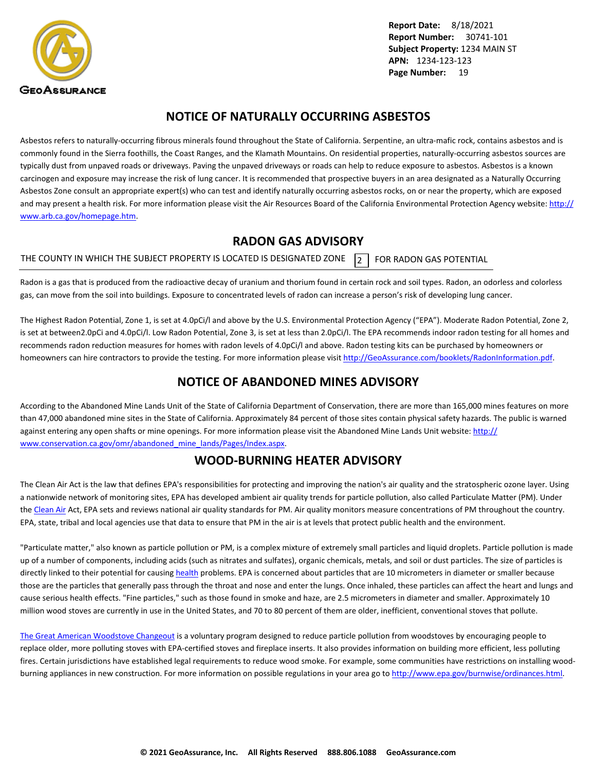<span id="page-20-0"></span>

### **NOTICE OF NATURALLY OCCURRING ASBESTOS**

Asbestos refers to naturally-occurring fibrous minerals found throughout the State of California. Serpentine, an ultra-mafic rock, contains asbestos and is commonly found in the Sierra foothills, the Coast Ranges, and the Klamath Mountains. On residential properties, naturally-occurring asbestos sources are typically dust from unpaved roads or driveways. Paving the unpaved driveways or roads can help to reduce exposure to asbestos. Asbestos is a known carcinogen and exposure may increase the risk of lung cancer. It is recommended that prospective buyers in an area designated as a Naturally Occurring Asbestos Zone consult an appropriate expert(s) who can test and identify naturally occurring asbestos rocks, on or near the property, which are exposed and may present a health risk. For more information please visit the Air Resources Board of the California Environmental Protection Agency website: [http://](http://www.arb.ca.gov/homepage.htm) [www.arb.ca.gov/homepage.htm](http://www.arb.ca.gov/homepage.htm).

### **RADON GAS ADVISORY**

THE COUNTY IN WHICH THE SUBJECT PROPERTY IS LOCATED IS DESIGNATED ZONE  $\overline{2}$  FOR RADON GAS POTENTIAL

Radon is a gas that is produced from the radioactive decay of uranium and thorium found in certain rock and soil types. Radon, an odorless and colorless gas, can move from the soil into buildings. Exposure to concentrated levels of radon can increase a person's risk of developing lung cancer.

The Highest Radon Potential, Zone 1, is set at 4.0pCi/l and above by the U.S. Environmental Protection Agency ("EPA"). Moderate Radon Potential, Zone 2, is set at between2.0pCi and 4.0pCi/l. Low Radon Potential, Zone 3, is set at less than 2.0pCi/l. The EPA recommends indoor radon testing for all homes and recommends radon reduction measures for homes with radon levels of 4.0pCi/l and above. Radon testing kits can be purchased by homeowners or homeowners can hire contractors to provide the testing. For more information please visit <http://GeoAssurance.com/booklets/RadonInformation.pdf>.

### **NOTICE OF ABANDONED MINES ADVISORY**

According to the Abandoned Mine Lands Unit of the State of California Department of Conservation, there are more than 165,000 mines features on more than 47,000 abandoned mine sites in the State of California. Approximately 84 percent of those sites contain physical safety hazards. The public is warned against entering any open shafts or mine openings. For more information please visit the Abandoned Mine Lands Unit website: [http://](http://www.conservation.ca.gov/omr/abandoned_mine_lands/Pages/Index.aspx) [www.conservation.ca.gov/omr/abandoned\\_mine\\_lands/Pages/Index.aspx](http://www.conservation.ca.gov/omr/abandoned_mine_lands/Pages/Index.aspx).

### **WOOD-BURNING HEATER ADVISORY**

The Clean Air Act is the law that defines EPA's responsibilities for protecting and improving the nation's air quality and the stratospheric ozone layer. Using a nationwide network of monitoring sites, EPA has developed ambient air quality trends for particle pollution, also called Particulate Matter (PM). Under the [Clean Air](http://www.epa.gov/airtrends/pm.html) Act, EPA sets and reviews national air quality standards for PM. Air quality monitors measure concentrations of PM throughout the country. EPA, state, tribal and local agencies use that data to ensure that PM in the air is at levels that protect public health and the environment.

"Particulate matter," also known as particle pollution or PM, is a complex mixture of extremely small particles and liquid droplets. Particle pollution is made up of a number of components, including acids (such as nitrates and sulfates), organic chemicals, metals, and soil or dust particles. The size of particles is directly linked to their potential for causing [health](http://www.epa.gov/pm/) problems. EPA is concerned about particles that are 10 micrometers in diameter or smaller because those are the particles that generally pass through the throat and nose and enter the lungs. Once inhaled, these particles can affect the heart and lungs and cause serious health effects. "Fine particles," such as those found in smoke and haze, are 2.5 micrometers in diameter and smaller. Approximately 10 million wood stoves are currently in use in the United States, and 70 to 80 percent of them are older, inefficient, conventional stoves that pollute.

[The Great American Woodstove Changeout](http://www.epa.gov/woodstoves/changeout.html) is a voluntary program designed to reduce particle pollution from woodstoves by encouraging people to replace older, more polluting stoves with EPA-certified stoves and fireplace inserts. It also provides information on building more efficient, less polluting fires. Certain jurisdictions have established legal requirements to reduce wood smoke. For example, some communities have restrictions on installing woodburning appliances in new construction. For more information on possible regulations in your area go to<http://www.epa.gov/burnwise/ordinances.html>.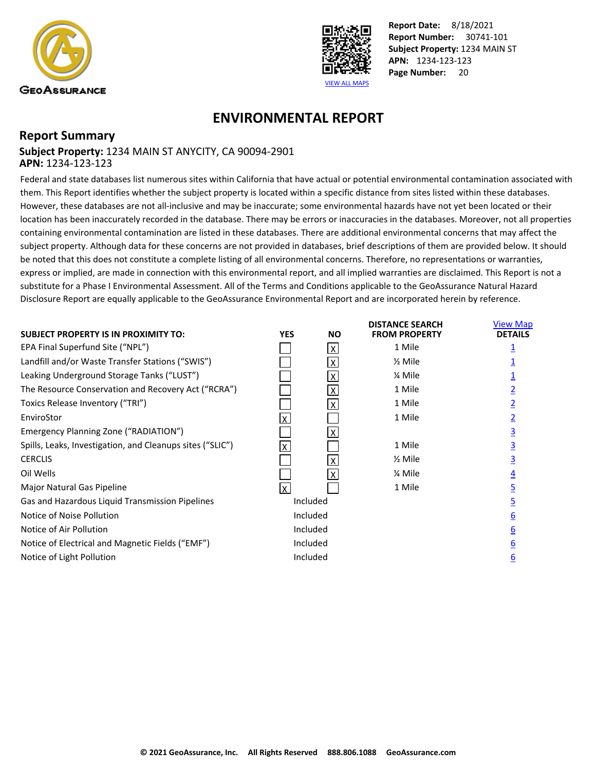<span id="page-21-0"></span>



**DISTANCE SEARCH** 

**View Man** 

## **ENVIRONMENTAL REPORT**

### **Report Summary Subject Property:** 1234 MAIN ST ANYCITY, CA 90094-2901 **APN:** 1234-123-123

Federal and state databases list numerous sites within California that have actual or potential environmental contamination associated with them. This Report identifies whether the subject property is located within a specific distance from sites listed within these databases. However, these databases are not all-inclusive and may be inaccurate; some environmental hazards have not yet been located or their location has been inaccurately recorded in the database. There may be errors or inaccuracies in the databases. Moreover, not all properties containing environmental contamination are listed in these databases. There are additional environmental concerns that may affect the subject property. Although data for these concerns are not provided in databases, brief descriptions of them are provided below. It should be noted that this does not constitute a complete listing of all environmental concerns. Therefore, no representations or warranties, express or implied, are made in connection with this environmental report, and all implied warranties are disclaimed. This Report is not a substitute for a Phase I Environmental Assessment. All of the Terms and Conditions applicable to the GeoAssurance Natural Hazard Disclosure Report are equally applicable to the GeoAssurance Environmental Report and are incorporated herein by reference.

|                                                           |            |              |                      | . <b>.</b>     |
|-----------------------------------------------------------|------------|--------------|----------------------|----------------|
| <b>SUBJECT PROPERTY IS IN PROXIMITY TO:</b>               | <b>YES</b> | <b>NO</b>    | <b>FROM PROPERTY</b> | <b>DETAILS</b> |
| EPA Final Superfund Site ("NPL")                          |            | X            | 1 Mile               |                |
| Landfill and/or Waste Transfer Stations ("SWIS")          |            |              | $\frac{1}{2}$ Mile   |                |
| Leaking Underground Storage Tanks ("LUST")                |            |              | % Mile               |                |
| The Resource Conservation and Recovery Act ("RCRA")       |            | X            | 1 Mile               |                |
| Toxics Release Inventory ("TRI")                          |            |              | 1 Mile               |                |
| EnviroStor                                                | lx.        |              | 1 Mile               |                |
| Emergency Planning Zone ("RADIATION")                     |            |              |                      |                |
| Spills, Leaks, Investigation, and Cleanups sites ("SLIC") | Ιx.        |              | 1 Mile               | 3              |
| <b>CERCLIS</b>                                            |            |              | $\frac{1}{2}$ Mile   |                |
| Oil Wells                                                 |            | $\mathsf{X}$ | % Mile               |                |
| Major Natural Gas Pipeline                                | lx.        |              | 1 Mile               |                |
| Gas and Hazardous Liquid Transmission Pipelines           |            | Included     |                      |                |
| Notice of Noise Pollution                                 |            | Included     |                      | 6              |
| Notice of Air Pollution                                   |            | Included     |                      | 6              |
| Notice of Electrical and Magnetic Fields ("EMF")          |            | Included     |                      | 6              |
| Notice of Light Pollution                                 |            | Included     |                      | 6              |
|                                                           |            |              |                      |                |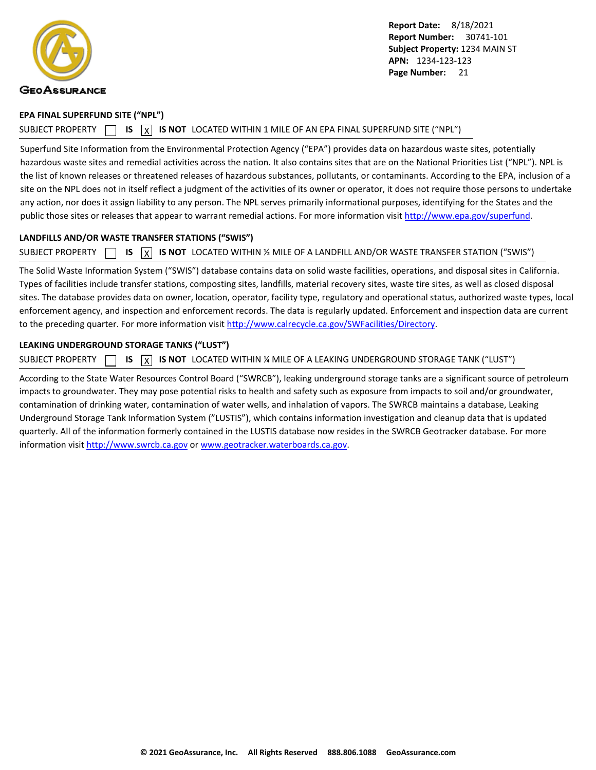<span id="page-22-0"></span>

#### **EPA FINAL SUPERFUND SITE ("NPL")**

SUBJECT PROPERTY  $\Box$  **IS**  $\Box$  **IS NOT** LOCATED WITHIN 1 MILE OF AN EPA FINAL SUPERFUND SITE ("NPL")

Superfund Site Information from the Environmental Protection Agency ("EPA") provides data on hazardous waste sites, potentially hazardous waste sites and remedial activities across the nation. It also contains sites that are on the National Priorities List ("NPL"). NPL is the list of known releases or threatened releases of hazardous substances, pollutants, or contaminants. According to the EPA, inclusion of a site on the NPL does not in itself reflect a judgment of the activities of its owner or operator, it does not require those persons to undertake any action, nor does it assign liability to any person. The NPL serves primarily informational purposes, identifying for the States and the public those sites or releases that appear to warrant remedial actions. For more information visit [http://www.epa.gov/superfund.](http://www.epa.gov/superfund)

### **LANDFILLS AND/OR WASTE TRANSFER STATIONS ("SWIS")**

SUBJECT PROPERTY  $\Box$  **IS**  $\overline{X}$  **IS NOT** LOCATED WITHIN % MILE OF A LANDFILL AND/OR WASTE TRANSFER STATION ("SWIS")

The Solid Waste Information System ("SWIS") database contains data on solid waste facilities, operations, and disposal sites in California. Types of facilities include transfer stations, composting sites, landfills, material recovery sites, waste tire sites, as well as closed disposal sites. The database provides data on owner, location, operator, facility type, regulatory and operational status, authorized waste types, local enforcement agency, and inspection and enforcement records. The data is regularly updated. Enforcement and inspection data are current to the preceding quarter. For more information visit<http://www.calrecycle.ca.gov/SWFacilities/Directory>.

### **LEAKING UNDERGROUND STORAGE TANKS ("LUST")**

SUBJECT PROPERTY  $\Box$  **IS**  $\Box$  **IS NOT** LOCATED WITHIN % MILE OF A LEAKING UNDERGROUND STORAGE TANK ("LUST")

According to the State Water Resources Control Board ("SWRCB"), leaking underground storage tanks are a significant source of petroleum impacts to groundwater. They may pose potential risks to health and safety such as exposure from impacts to soil and/or groundwater, contamination of drinking water, contamination of water wells, and inhalation of vapors. The SWRCB maintains a database, Leaking Underground Storage Tank Information System ("LUSTIS"), which contains information investigation and cleanup data that is updated quarterly. All of the information formerly contained in the LUSTIS database now resides in the SWRCB Geotracker database. For more information visit <http://www.swrcb.ca.gov>or [www.geotracker.waterboards.ca.gov](http://www.geotracker.waterboards.ca.gov).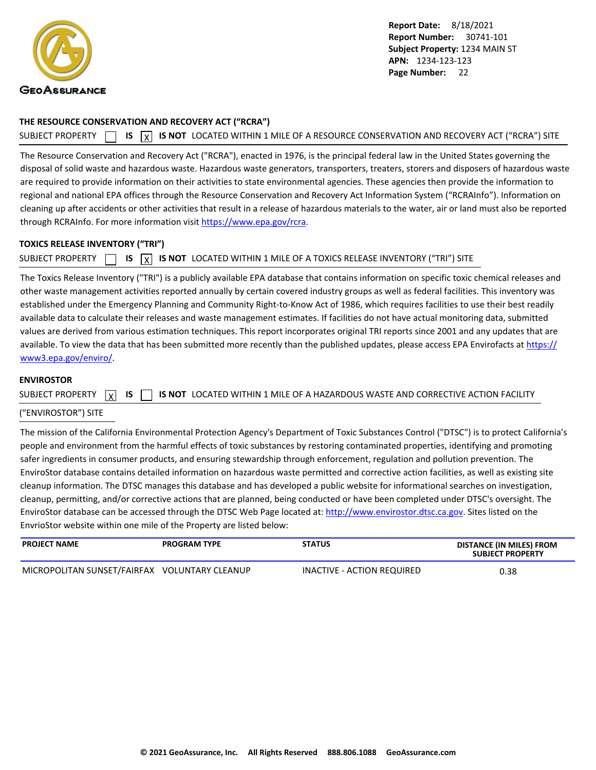<span id="page-23-0"></span>

#### **THE RESOURCE CONSERVATION AND RECOVERY ACT ("RCRA")**

SUBJECT PROPERTY **IS** IS **INOT** LOCATED WITHIN 1 MILE OF A RESOURCE CONSERVATION AND RECOVERY ACT ("RCRA") SITE

The Resource Conservation and Recovery Act ("RCRA"), enacted in 1976, is the principal federal law in the United States governing the disposal of solid waste and hazardous waste. Hazardous waste generators, transporters, treaters, storers and disposers of hazardous waste are required to provide information on their activities to state environmental agencies. These agencies then provide the information to regional and national EPA offices through the Resource Conservation and Recovery Act Information System ("RCRAInfo"). Information on cleaning up after accidents or other activities that result in a release of hazardous materials to the water, air or land must also be reported through RCRAInfo. For more information visit<https://www.epa.gov/rcra>.

#### **TOXICS RELEASE INVENTORY ("TRI")**

SUBJECT PROPERTY **15** IS **X** IS NOT LOCATED WITHIN 1 MILE OF A TOXICS RELEASE INVENTORY ("TRI") SITE

The Toxics Release Inventory ("TRI") is a publicly available EPA database that contains information on specific toxic chemical releases and other waste management activities reported annually by certain covered industry groups as well as federal facilities. This inventory was established under the Emergency Planning and Community Right-to-Know Act of 1986, which requires facilities to use their best readily available data to calculate their releases and waste management estimates. If facilities do not have actual monitoring data, submitted values are derived from various estimation techniques. This report incorporates original TRI reports since 2001 and any updates that are available. To view the data that has been submitted more recently than the published updates, please access EPA Envirofacts at [https://](https://www3.epa.gov/enviro/) [www3.epa.gov/enviro/](https://www3.epa.gov/enviro/).

#### **ENVIROSTOR**

| SUBJECT PROPERTY $\boxed{x}$ IS $\boxed{ }$ IS NOT LOCATED WITHIN 1 MILE OF A HAZARDOUS WASTE AND CORRECTIVE ACTION FACILITY |  |
|------------------------------------------------------------------------------------------------------------------------------|--|
|------------------------------------------------------------------------------------------------------------------------------|--|

#### ("ENVIROSTOR") SITE

The mission of the California Environmental Protection Agency's Department of Toxic Substances Control ("DTSC") is to protect California's people and environment from the harmful effects of toxic substances by restoring contaminated properties, identifying and promoting safer ingredients in consumer products, and ensuring stewardship through enforcement, regulation and pollution prevention. The EnviroStor database contains detailed information on hazardous waste permitted and corrective action facilities, as well as existing site cleanup information. The DTSC manages this database and has developed a public website for informational searches on investigation, cleanup, permitting, and/or corrective actions that are planned, being conducted or have been completed under DTSC's oversight. The EnviroStor database can be accessed through the DTSC Web Page located at: [http://www.envirostor.dtsc.ca.gov.](http://www.envirostor.dtsc.ca.gov) Sites listed on the EnvrioStor website within one mile of the Property are listed below:

| <b>PROJECT NAME</b>                           | <b>PROGRAM TYPE</b> | <b>STATUS</b>              | DISTANCE (IN MILES) FROM<br><b>SUBJECT PROPERTY</b> |
|-----------------------------------------------|---------------------|----------------------------|-----------------------------------------------------|
| MICROPOLITAN SUNSET/FAIRFAX VOLUNTARY CLEANUP |                     | INACTIVE - ACTION REQUIRED | 0.38                                                |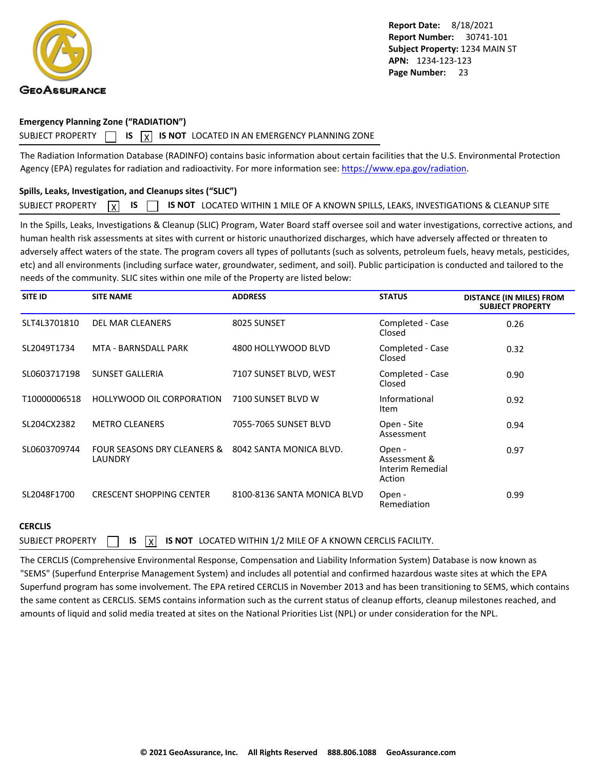<span id="page-24-0"></span>

#### **Emergency Planning Zone ("RADIATION")**

#### SUBJECT PROPERTY  $\Box$  **IS**  $\overline{X}$  **IS NOT** LOCATED IN AN EMERGENCY PLANNING ZONE

The Radiation Information Database (RADINFO) contains basic information about certain facilities that the U.S. Environmental Protection Agency (EPA) regulates for radiation and radioactivity. For more information see:<https://www.epa.gov/radiation>.

### **Spills, Leaks, Investigation, and Cleanups sites ("SLIC")**

|  |  |  |  |  | SUBJECT PROPERTY $\boxed{X}$ IS $\boxed{ }$ IS NOT LOCATED WITHIN 1 MILE OF A KNOWN SPILLS, LEAKS, INVESTIGATIONS & CLEANUP SITE |  |
|--|--|--|--|--|----------------------------------------------------------------------------------------------------------------------------------|--|
|--|--|--|--|--|----------------------------------------------------------------------------------------------------------------------------------|--|

In the Spills, Leaks, Investigations & Cleanup (SLIC) Program, Water Board staff oversee soil and water investigations, corrective actions, and human health risk assessments at sites with current or historic unauthorized discharges, which have adversely affected or threaten to adversely affect waters of the state. The program covers all types of pollutants (such as solvents, petroleum fuels, heavy metals, pesticides, etc) and all environments (including surface water, groundwater, sediment, and soil). Public participation is conducted and tailored to the needs of the community. SLIC sites within one mile of the Property are listed below:

| <b>SITE ID</b> | <b>SITE NAME</b>                       | <b>ADDRESS</b>              | <b>STATUS</b>                                        | <b>DISTANCE (IN MILES) FROM</b><br><b>SUBJECT PROPERTY</b> |
|----------------|----------------------------------------|-----------------------------|------------------------------------------------------|------------------------------------------------------------|
| SLT4L3701810   | DEL MAR CLEANERS                       | 8025 SUNSET                 | Completed - Case<br>Closed                           | 0.26                                                       |
| SL2049T1734    | MTA - BARNSDALL PARK                   | 4800 HOLLYWOOD BLVD         | Completed - Case<br>Closed                           | 0.32                                                       |
| SL0603717198   | <b>SUNSET GALLERIA</b>                 | 7107 SUNSET BLVD, WEST      | Completed - Case<br>Closed                           | 0.90                                                       |
| T10000006518   | <b>HOLLYWOOD OIL CORPORATION</b>       | 7100 SUNSET BLVD W          | Informational<br>Item                                | 0.92                                                       |
| SL204CX2382    | <b>METRO CLEANERS</b>                  | 7055-7065 SUNSET BLVD       | Open - Site<br>Assessment                            | 0.94                                                       |
| SL0603709744   | FOUR SEASONS DRY CLEANERS &<br>LAUNDRY | 8042 SANTA MONICA BLVD.     | Open -<br>Assessment &<br>Interim Remedial<br>Action | 0.97                                                       |
| SL2048F1700    | <b>CRESCENT SHOPPING CENTER</b>        | 8100-8136 SANTA MONICA BLVD | Open -<br>Remediation                                | 0.99                                                       |

#### **CERCLIS**

SUBJECT PROPERTY  $\Box$  **IS**  $\overline{X}$  **IS NOT** LOCATED WITHIN 1/2 MILE OF A KNOWN CERCLIS FACILITY.

The CERCLIS (Comprehensive Environmental Response, Compensation and Liability Information System) Database is now known as "SEMS" (Superfund Enterprise Management System) and includes all potential and confirmed hazardous waste sites at which the EPA Superfund program has some involvement. The EPA retired CERCLIS in November 2013 and has been transitioning to SEMS, which contains the same content as CERCLIS. SEMS contains information such as the current status of cleanup efforts, cleanup milestones reached, and amounts of liquid and solid media treated at sites on the National Priorities List (NPL) or under consideration for the NPL.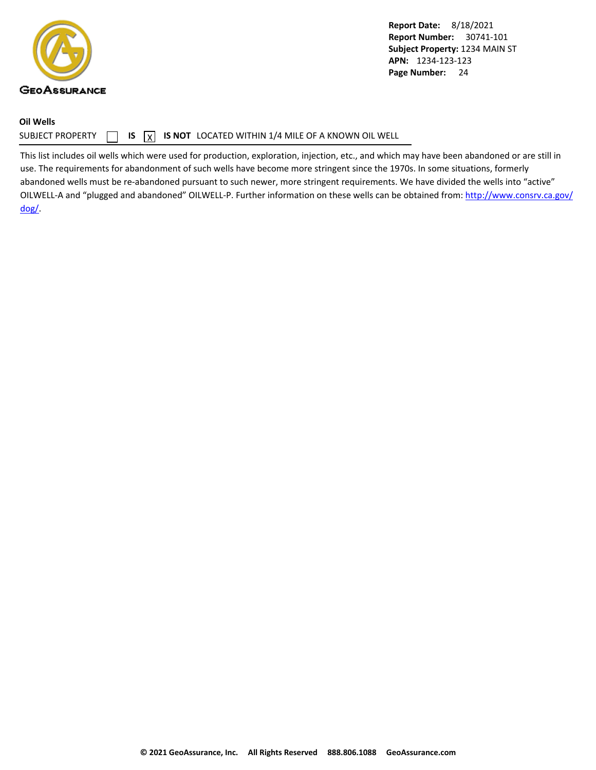<span id="page-25-0"></span>

**Oil Wells**

**Report Date:** 8/18/2021 **Report Number:** 30741-101 **Subject Property:** 1234 MAIN ST **APN:** 1234-123-123 Page Number: 24

### SUBJECT PROPERTY  $\Box$  **IS**  $\overline{X}$  **IS NOT** LOCATED WITHIN 1/4 MILE OF A KNOWN OIL WELL

This list includes oil wells which were used for production, exploration, injection, etc., and which may have been abandoned or are still in use. The requirements for abandonment of such wells have become more stringent since the 1970s. In some situations, formerly abandoned wells must be re-abandoned pursuant to such newer, more stringent requirements. We have divided the wells into "active" OILWELL-A and "plugged and abandoned" OILWELL-P. Further information on these wells can be obtained from: [http://www.consrv.ca.gov/](http://www.consrv.ca.gov/dog/) [dog/.](http://www.consrv.ca.gov/dog/)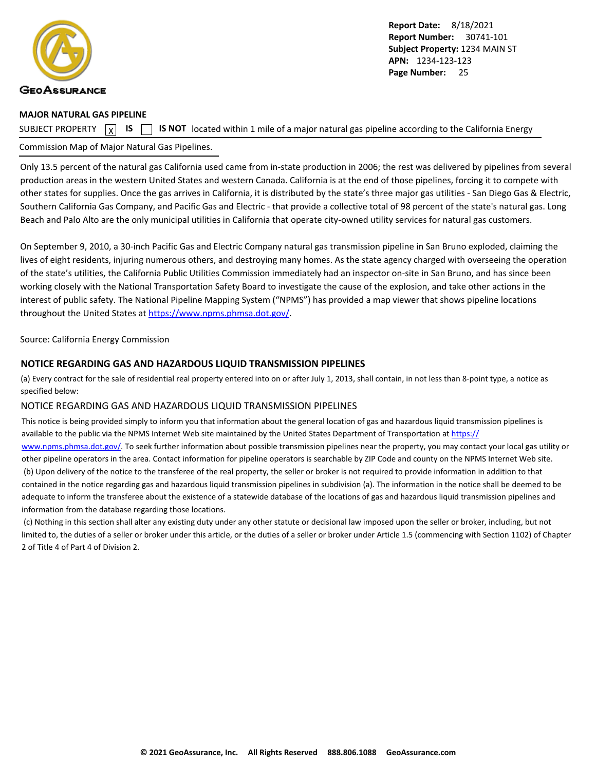<span id="page-26-0"></span>

#### **MAJOR NATURAL GAS PIPELINE**

SUBJECT PROPERTY  $\boxed{\mathbf{x}}$ 

**IS IS NOT** located within 1 mile of a major natural gas pipeline according to the California Energy

### Commission Map of Major Natural Gas Pipelines.

Only 13.5 percent of the natural gas California used came from in-state production in 2006; the rest was delivered by pipelines from several production areas in the western United States and western Canada. California is at the end of those pipelines, forcing it to compete with other states for supplies. Once the gas arrives in California, it is distributed by the state's three major gas utilities - San Diego Gas & Electric, Southern California Gas Company, and Pacific Gas and Electric - that provide a collective total of 98 percent of the state's natural gas. Long Beach and Palo Alto are the only municipal utilities in California that operate city-owned utility services for natural gas customers.

On September 9, 2010, a 30-inch Pacific Gas and Electric Company natural gas transmission pipeline in San Bruno exploded, claiming the lives of eight residents, injuring numerous others, and destroying many homes. As the state agency charged with overseeing the operation of the state's utilities, the California Public Utilities Commission immediately had an inspector on-site in San Bruno, and has since been working closely with the National Transportation Safety Board to investigate the cause of the explosion, and take other actions in the interest of public safety. The National Pipeline Mapping System ("NPMS") has provided a map viewer that shows pipeline locations throughout the United States at<https://www.npms.phmsa.dot.gov/>.

#### Source: California Energy Commission

#### **NOTICE REGARDING GAS AND HAZARDOUS LIQUID TRANSMISSION PIPELINES**

(a) Every contract for the sale of residential real property entered into on or after July 1, 2013, shall contain, in not less than 8-point type, a notice as specified below:

#### NOTICE REGARDING GAS AND HAZARDOUS LIQUID TRANSMISSION PIPELINES

This notice is being provided simply to inform you that information about the general location of gas and hazardous liquid transmission pipelines is available to the public via the NPMS Internet Web site maintained by the United States Department of Transportation at [https://](https://www.npms.phmsa.dot.gov/) [www.npms.phmsa.dot.gov/](https://www.npms.phmsa.dot.gov/). To seek further information about possible transmission pipelines near the property, you may contact your local gas utility or other pipeline operators in the area. Contact information for pipeline operators is searchable by ZIP Code and county on the NPMS Internet Web site. (b) Upon delivery of the notice to the transferee of the real property, the seller or broker is not required to provide information in addition to that contained in the notice regarding gas and hazardous liquid transmission pipelines in subdivision (a). The information in the notice shall be deemed to be adequate to inform the transferee about the existence of a statewide database of the locations of gas and hazardous liquid transmission pipelines and information from the database regarding those locations.

 (c) Nothing in this section shall alter any existing duty under any other statute or decisional law imposed upon the seller or broker, including, but not limited to, the duties of a seller or broker under this article, or the duties of a seller or broker under Article 1.5 (commencing with Section 1102) of Chapter 2 of Title 4 of Part 4 of Division 2.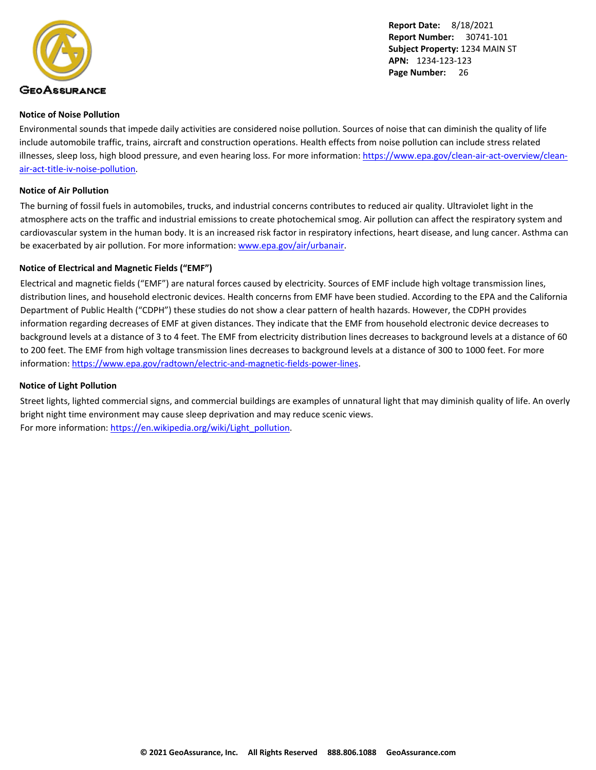<span id="page-27-0"></span>

#### **Notice of Noise Pollution**

Environmental sounds that impede daily activities are considered noise pollution. Sources of noise that can diminish the quality of life include automobile traffic, trains, aircraft and construction operations. Health effects from noise pollution can include stress related illnesses, sleep loss, high blood pressure, and even hearing loss. For more information: [https://www.epa.gov/clean-air-act-overview/clean](https://www.epa.gov/clean-air-act-overview/clean-air-act-title-iv-noise-pollution)[air-act-title-iv-noise-pollution](https://www.epa.gov/clean-air-act-overview/clean-air-act-title-iv-noise-pollution).

#### **Notice of Air Pollution**

The burning of fossil fuels in automobiles, trucks, and industrial concerns contributes to reduced air quality. Ultraviolet light in the atmosphere acts on the traffic and industrial emissions to create photochemical smog. Air pollution can affect the respiratory system and cardiovascular system in the human body. It is an increased risk factor in respiratory infections, heart disease, and lung cancer. Asthma can be exacerbated by air pollution. For more information: [www.epa.gov/air/urbanair](http://www.epa.gov/air/urbanair).

#### **Notice of Electrical and Magnetic Fields ("EMF")**

Electrical and magnetic fields ("EMF") are natural forces caused by electricity. Sources of EMF include high voltage transmission lines, distribution lines, and household electronic devices. Health concerns from EMF have been studied. According to the EPA and the California Department of Public Health ("CDPH") these studies do not show a clear pattern of health hazards. However, the CDPH provides information regarding decreases of EMF at given distances. They indicate that the EMF from household electronic device decreases to background levels at a distance of 3 to 4 feet. The EMF from electricity distribution lines decreases to background levels at a distance of 60 to 200 feet. The EMF from high voltage transmission lines decreases to background levels at a distance of 300 to 1000 feet. For more information: <https://www.epa.gov/radtown/electric-and-magnetic-fields-power-lines>.

#### **Notice of Light Pollution**

Street lights, lighted commercial signs, and commercial buildings are examples of unnatural light that may diminish quality of life. An overly bright night time environment may cause sleep deprivation and may reduce scenic views. For more information: [https://en.wikipedia.org/wiki/Light\\_pollution](https://en.wikipedia.org/wiki/Light_pollution).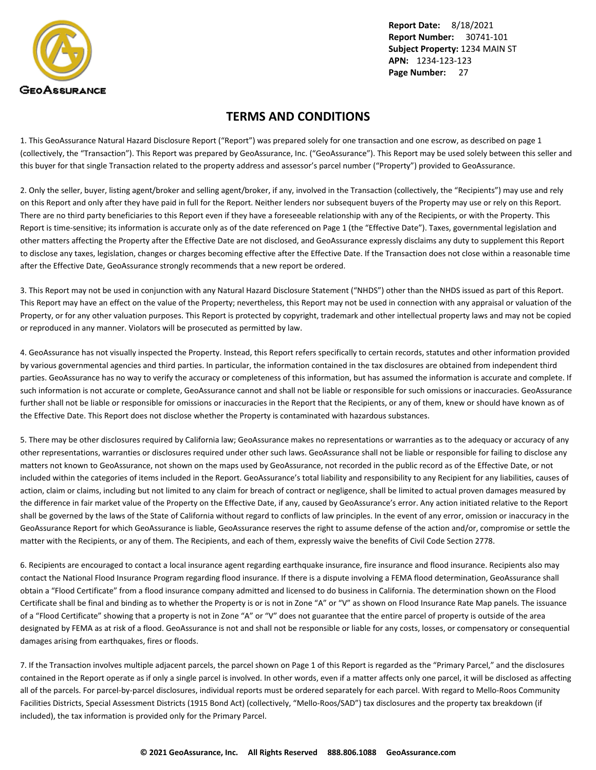<span id="page-28-0"></span>

### **TERMS AND CONDITIONS**

1. This GeoAssurance Natural Hazard Disclosure Report ("Report") was prepared solely for one transaction and one escrow, as described on page 1 (collectively, the "Transaction"). This Report was prepared by GeoAssurance, Inc. ("GeoAssurance"). This Report may be used solely between this seller and this buyer for that single Transaction related to the property address and assessor's parcel number ("Property") provided to GeoAssurance.

2. Only the seller, buyer, listing agent/broker and selling agent/broker, if any, involved in the Transaction (collectively, the "Recipients") may use and rely on this Report and only after they have paid in full for the Report. Neither lenders nor subsequent buyers of the Property may use or rely on this Report. There are no third party beneficiaries to this Report even if they have a foreseeable relationship with any of the Recipients, or with the Property. This Report is time-sensitive; its information is accurate only as of the date referenced on Page 1 (the "Effective Date"). Taxes, governmental legislation and other matters affecting the Property after the Effective Date are not disclosed, and GeoAssurance expressly disclaims any duty to supplement this Report to disclose any taxes, legislation, changes or charges becoming effective after the Effective Date. If the Transaction does not close within a reasonable time after the Effective Date, GeoAssurance strongly recommends that a new report be ordered.

3. This Report may not be used in conjunction with any Natural Hazard Disclosure Statement ("NHDS") other than the NHDS issued as part of this Report. This Report may have an effect on the value of the Property; nevertheless, this Report may not be used in connection with any appraisal or valuation of the Property, or for any other valuation purposes. This Report is protected by copyright, trademark and other intellectual property laws and may not be copied or reproduced in any manner. Violators will be prosecuted as permitted by law.

4. GeoAssurance has not visually inspected the Property. Instead, this Report refers specifically to certain records, statutes and other information provided by various governmental agencies and third parties. In particular, the information contained in the tax disclosures are obtained from independent third parties. GeoAssurance has no way to verify the accuracy or completeness of this information, but has assumed the information is accurate and complete. If such information is not accurate or complete, GeoAssurance cannot and shall not be liable or responsible for such omissions or inaccuracies. GeoAssurance further shall not be liable or responsible for omissions or inaccuracies in the Report that the Recipients, or any of them, knew or should have known as of the Effective Date. This Report does not disclose whether the Property is contaminated with hazardous substances.

5. There may be other disclosures required by California law; GeoAssurance makes no representations or warranties as to the adequacy or accuracy of any other representations, warranties or disclosures required under other such laws. GeoAssurance shall not be liable or responsible for failing to disclose any matters not known to GeoAssurance, not shown on the maps used by GeoAssurance, not recorded in the public record as of the Effective Date, or not included within the categories of items included in the Report. GeoAssurance's total liability and responsibility to any Recipient for any liabilities, causes of action, claim or claims, including but not limited to any claim for breach of contract or negligence, shall be limited to actual proven damages measured by the difference in fair market value of the Property on the Effective Date, if any, caused by GeoAssurance's error. Any action initiated relative to the Report shall be governed by the laws of the State of California without regard to conflicts of law principles. In the event of any error, omission or inaccuracy in the GeoAssurance Report for which GeoAssurance is liable, GeoAssurance reserves the right to assume defense of the action and/or, compromise or settle the matter with the Recipients, or any of them. The Recipients, and each of them, expressly waive the benefits of Civil Code Section 2778.

6. Recipients are encouraged to contact a local insurance agent regarding earthquake insurance, fire insurance and flood insurance. Recipients also may contact the National Flood Insurance Program regarding flood insurance. If there is a dispute involving a FEMA flood determination, GeoAssurance shall obtain a "Flood Certificate" from a flood insurance company admitted and licensed to do business in California. The determination shown on the Flood Certificate shall be final and binding as to whether the Property is or is not in Zone "A" or "V" as shown on Flood Insurance Rate Map panels. The issuance of a "Flood Certificate" showing that a property is not in Zone "A" or "V" does not guarantee that the entire parcel of property is outside of the area designated by FEMA as at risk of a flood. GeoAssurance is not and shall not be responsible or liable for any costs, losses, or compensatory or consequential damages arising from earthquakes, fires or floods.

7. If the Transaction involves multiple adjacent parcels, the parcel shown on Page 1 of this Report is regarded as the "Primary Parcel," and the disclosures contained in the Report operate as if only a single parcel is involved. In other words, even if a matter affects only one parcel, it will be disclosed as affecting all of the parcels. For parcel-by-parcel disclosures, individual reports must be ordered separately for each parcel. With regard to Mello-Roos Community Facilities Districts, Special Assessment Districts (1915 Bond Act) (collectively, "Mello-Roos/SAD") tax disclosures and the property tax breakdown (if included), the tax information is provided only for the Primary Parcel.